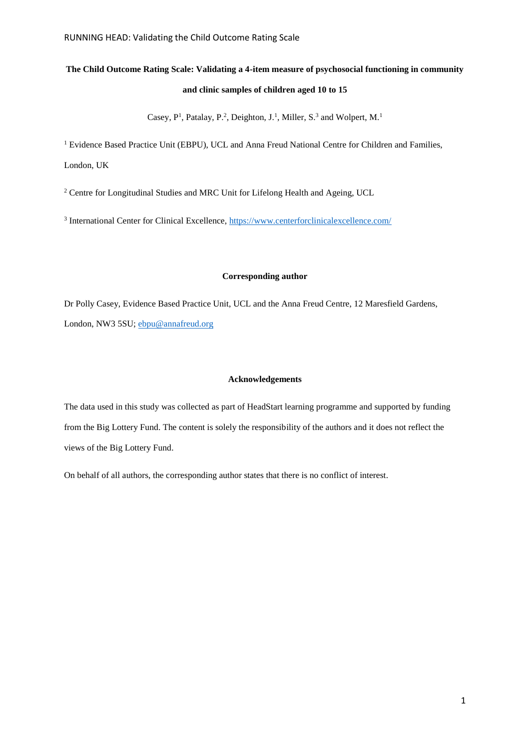# **The Child Outcome Rating Scale: Validating a 4-item measure of psychosocial functioning in community and clinic samples of children aged 10 to 15**

Casey, P<sup>1</sup>, Patalay, P.<sup>2</sup>, Deighton, J.<sup>1</sup>, Miller, S.<sup>3</sup> and Wolpert, M.<sup>1</sup>

<sup>1</sup> Evidence Based Practice Unit (EBPU), UCL and Anna Freud National Centre for Children and Families, London, UK

<sup>2</sup> Centre for Longitudinal Studies and MRC Unit for Lifelong Health and Ageing, UCL

<sup>3</sup> International Center for Clinical Excellence,<https://www.centerforclinicalexcellence.com/>

# **Corresponding author**

Dr Polly Casey, Evidence Based Practice Unit, UCL and the Anna Freud Centre, 12 Maresfield Gardens, London, NW3 5SU; [ebpu@annafreud.org](mailto:ebpu@annafreud.org)

# **Acknowledgements**

The data used in this study was collected as part of HeadStart learning programme and supported by funding from the Big Lottery Fund. The content is solely the responsibility of the authors and it does not reflect the views of the Big Lottery Fund.

On behalf of all authors, the corresponding author states that there is no conflict of interest.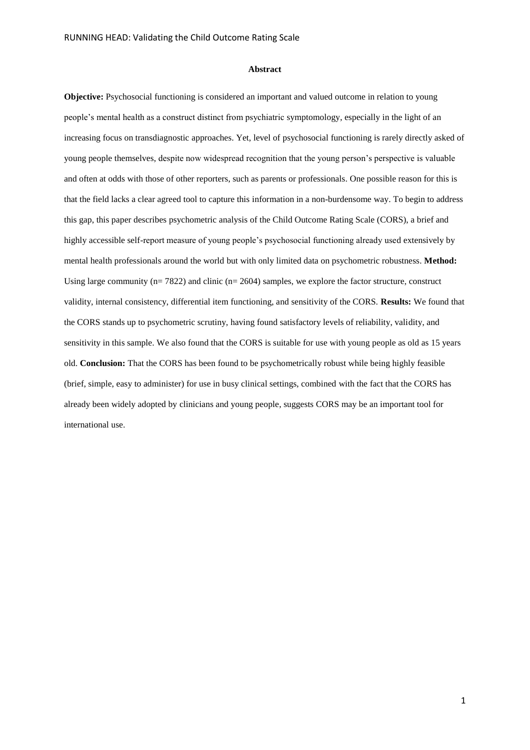#### **Abstract**

**Objective:** Psychosocial functioning is considered an important and valued outcome in relation to young people's mental health as a construct distinct from psychiatric symptomology, especially in the light of an increasing focus on transdiagnostic approaches. Yet, level of psychosocial functioning is rarely directly asked of young people themselves, despite now widespread recognition that the young person's perspective is valuable and often at odds with those of other reporters, such as parents or professionals. One possible reason for this is that the field lacks a clear agreed tool to capture this information in a non-burdensome way. To begin to address this gap, this paper describes psychometric analysis of the Child Outcome Rating Scale (CORS), a brief and highly accessible self-report measure of young people's psychosocial functioning already used extensively by mental health professionals around the world but with only limited data on psychometric robustness. **Method:** Using large community ( $n= 7822$ ) and clinic ( $n= 2604$ ) samples, we explore the factor structure, construct validity, internal consistency, differential item functioning, and sensitivity of the CORS. **Results:** We found that the CORS stands up to psychometric scrutiny, having found satisfactory levels of reliability, validity, and sensitivity in this sample. We also found that the CORS is suitable for use with young people as old as 15 years old. **Conclusion:** That the CORS has been found to be psychometrically robust while being highly feasible (brief, simple, easy to administer) for use in busy clinical settings, combined with the fact that the CORS has already been widely adopted by clinicians and young people, suggests CORS may be an important tool for international use.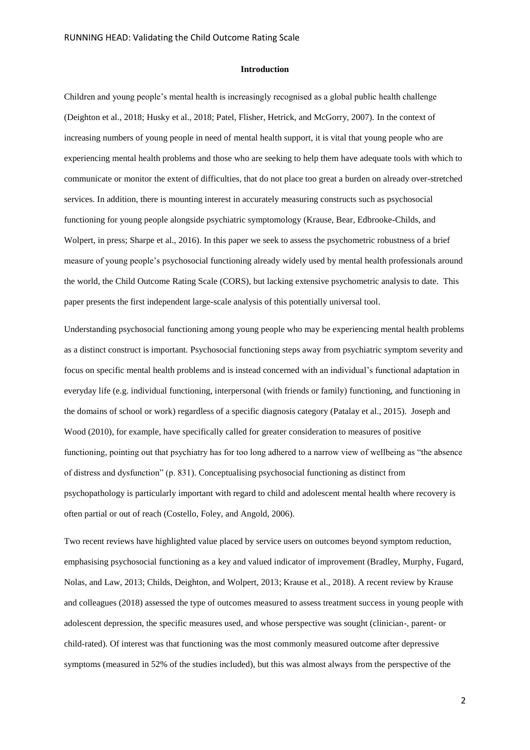#### **Introduction**

Children and young people's mental health is increasingly recognised as a global public health challenge (Deighton et al., 2018; Husky et al., 2018; Patel, Flisher, Hetrick, and McGorry, 2007). In the context of increasing numbers of young people in need of mental health support, it is vital that young people who are experiencing mental health problems and those who are seeking to help them have adequate tools with which to communicate or monitor the extent of difficulties, that do not place too great a burden on already over-stretched services. In addition, there is mounting interest in accurately measuring constructs such as psychosocial functioning for young people alongside psychiatric symptomology (Krause, Bear, Edbrooke-Childs, and Wolpert, in press; Sharpe et al., 2016). In this paper we seek to assess the psychometric robustness of a brief measure of young people's psychosocial functioning already widely used by mental health professionals around the world, the Child Outcome Rating Scale (CORS), but lacking extensive psychometric analysis to date. This paper presents the first independent large-scale analysis of this potentially universal tool.

Understanding psychosocial functioning among young people who may be experiencing mental health problems as a distinct construct is important. Psychosocial functioning steps away from psychiatric symptom severity and focus on specific mental health problems and is instead concerned with an individual's functional adaptation in everyday life (e.g. individual functioning, interpersonal (with friends or family) functioning, and functioning in the domains of school or work) regardless of a specific diagnosis category (Patalay et al., 2015). Joseph and Wood (2010), for example, have specifically called for greater consideration to measures of positive functioning, pointing out that psychiatry has for too long adhered to a narrow view of wellbeing as "the absence of distress and dysfunction" (p. 831). Conceptualising psychosocial functioning as distinct from psychopathology is particularly important with regard to child and adolescent mental health where recovery is often partial or out of reach (Costello, Foley, and Angold, 2006).

Two recent reviews have highlighted value placed by service users on outcomes beyond symptom reduction, emphasising psychosocial functioning as a key and valued indicator of improvement (Bradley, Murphy, Fugard, Nolas, and Law, 2013; Childs, Deighton, and Wolpert, 2013; Krause et al., 2018). A recent review by Krause and colleagues (2018) assessed the type of outcomes measured to assess treatment success in young people with adolescent depression, the specific measures used, and whose perspective was sought (clinician-, parent- or child-rated). Of interest was that functioning was the most commonly measured outcome after depressive symptoms (measured in 52% of the studies included), but this was almost always from the perspective of the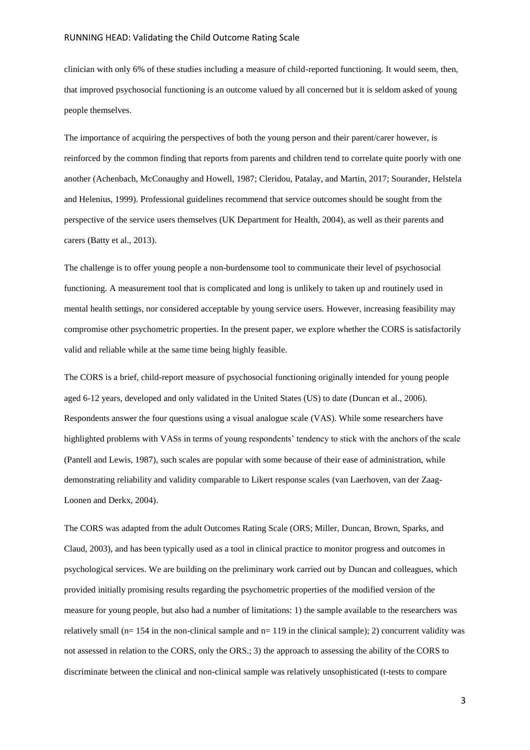clinician with only 6% of these studies including a measure of child-reported functioning. It would seem, then, that improved psychosocial functioning is an outcome valued by all concerned but it is seldom asked of young people themselves.

The importance of acquiring the perspectives of both the young person and their parent/carer however, is reinforced by the common finding that reports from parents and children tend to correlate quite poorly with one another (Achenbach, McConaughy and Howell, 1987; Cleridou, Patalay, and Martin, 2017; Sourander, Helstela and Helenius, 1999). Professional guidelines recommend that service outcomes should be sought from the perspective of the service users themselves (UK Department for Health, 2004), as well as their parents and carers (Batty et al., 2013).

The challenge is to offer young people a non-burdensome tool to communicate their level of psychosocial functioning. A measurement tool that is complicated and long is unlikely to taken up and routinely used in mental health settings, nor considered acceptable by young service users. However, increasing feasibility may compromise other psychometric properties. In the present paper, we explore whether the CORS is satisfactorily valid and reliable while at the same time being highly feasible.

The CORS is a brief, child-report measure of psychosocial functioning originally intended for young people aged 6-12 years, developed and only validated in the United States (US) to date (Duncan et al., 2006). Respondents answer the four questions using a visual analogue scale (VAS). While some researchers have highlighted problems with VASs in terms of young respondents' tendency to stick with the anchors of the scale (Pantell and Lewis, 1987), such scales are popular with some because of their ease of administration, while demonstrating reliability and validity comparable to Likert response scales (van Laerhoven, van der Zaag-Loonen and Derkx, 2004).

The CORS was adapted from the adult Outcomes Rating Scale (ORS; Miller, Duncan, Brown, Sparks, and Claud, 2003), and has been typically used as a tool in clinical practice to monitor progress and outcomes in psychological services. We are building on the preliminary work carried out by Duncan and colleagues, which provided initially promising results regarding the psychometric properties of the modified version of the measure for young people, but also had a number of limitations: 1) the sample available to the researchers was relatively small ( $n= 154$  in the non-clinical sample and  $n= 119$  in the clinical sample); 2) concurrent validity was not assessed in relation to the CORS, only the ORS.; 3) the approach to assessing the ability of the CORS to discriminate between the clinical and non-clinical sample was relatively unsophisticated (t-tests to compare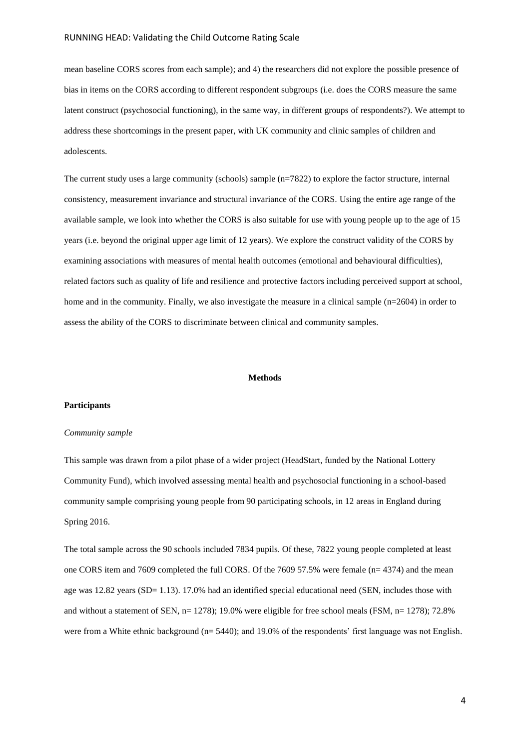mean baseline CORS scores from each sample); and 4) the researchers did not explore the possible presence of bias in items on the CORS according to different respondent subgroups (i.e. does the CORS measure the same latent construct (psychosocial functioning), in the same way, in different groups of respondents?). We attempt to address these shortcomings in the present paper, with UK community and clinic samples of children and adolescents.

The current study uses a large community (schools) sample (n=7822) to explore the factor structure, internal consistency, measurement invariance and structural invariance of the CORS. Using the entire age range of the available sample, we look into whether the CORS is also suitable for use with young people up to the age of 15 years (i.e. beyond the original upper age limit of 12 years). We explore the construct validity of the CORS by examining associations with measures of mental health outcomes (emotional and behavioural difficulties), related factors such as quality of life and resilience and protective factors including perceived support at school, home and in the community. Finally, we also investigate the measure in a clinical sample  $(n=2604)$  in order to assess the ability of the CORS to discriminate between clinical and community samples.

### **Methods**

#### **Participants**

### *Community sample*

This sample was drawn from a pilot phase of a wider project (HeadStart, funded by the National Lottery Community Fund), which involved assessing mental health and psychosocial functioning in a school-based community sample comprising young people from 90 participating schools, in 12 areas in England during Spring 2016.

The total sample across the 90 schools included 7834 pupils. Of these, 7822 young people completed at least one CORS item and 7609 completed the full CORS. Of the 7609 57.5% were female (n= 4374) and the mean age was 12.82 years (SD= 1.13). 17.0% had an identified special educational need (SEN, includes those with and without a statement of SEN, n= 1278); 19.0% were eligible for free school meals (FSM, n= 1278); 72.8% were from a White ethnic background (n= 5440); and 19.0% of the respondents' first language was not English.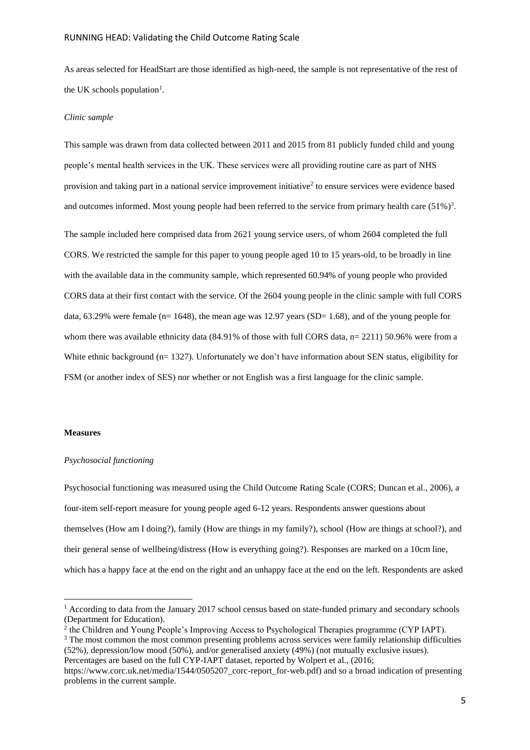As areas selected for HeadStart are those identified as high-need, the sample is not representative of the rest of the UK schools population<sup>1</sup>.

#### *Clinic sample*

This sample was drawn from data collected between 2011 and 2015 from 81 publicly funded child and young people's mental health services in the UK. These services were all providing routine care as part of NHS provision and taking part in a national service improvement initiative<sup>2</sup> to ensure services were evidence based and outcomes informed. Most young people had been referred to the service from primary health care  $(51\%)^3$ .

The sample included here comprised data from 2621 young service users, of whom 2604 completed the full CORS. We restricted the sample for this paper to young people aged 10 to 15 years-old, to be broadly in line with the available data in the community sample, which represented 60.94% of young people who provided CORS data at their first contact with the service. Of the 2604 young people in the clinic sample with full CORS data,  $63.29\%$  were female (n= 1648), the mean age was 12.97 years (SD= 1.68), and of the young people for whom there was available ethnicity data (84.91% of those with full CORS data, n= 2211) 50.96% were from a White ethnic background (n= 1327). Unfortunately we don't have information about SEN status, eligibility for FSM (or another index of SES) nor whether or not English was a first language for the clinic sample.

#### **Measures**

1

#### *Psychosocial functioning*

Psychosocial functioning was measured using the Child Outcome Rating Scale (CORS; Duncan et al., 2006), a four-item self-report measure for young people aged 6-12 years. Respondents answer questions about themselves (How am I doing?), family (How are things in my family?), school (How are things at school?), and their general sense of wellbeing/distress (How is everything going?). Responses are marked on a 10cm line, which has a happy face at the end on the right and an unhappy face at the end on the left. Respondents are asked

<sup>3</sup> The most common the most common presenting problems across services were family relationship difficulties (52%), depression/low mood (50%), and/or generalised anxiety (49%) (not mutually exclusive issues).

<sup>&</sup>lt;sup>1</sup> According to data from the January 2017 school census based on state-funded primary and secondary schools (Department for Education).

<sup>&</sup>lt;sup>2</sup> the Children and Young People's Improving Access to Psychological Therapies programme (CYP IAPT).

Percentages are based on the full CYP-IAPT dataset, reported by Wolpert et al., (2016;

https://www.corc.uk.net/media/1544/0505207\_corc-report\_for-web.pdf) and so a broad indication of presenting problems in the current sample.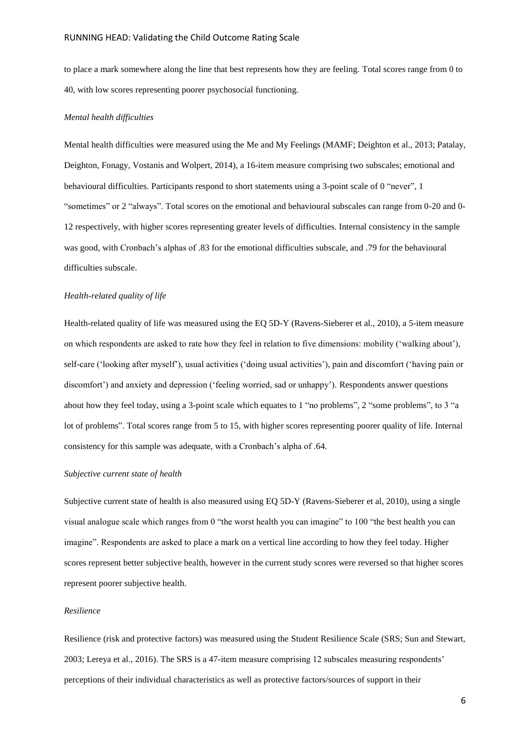to place a mark somewhere along the line that best represents how they are feeling. Total scores range from 0 to 40, with low scores representing poorer psychosocial functioning.

#### *Mental health difficulties*

Mental health difficulties were measured using the Me and My Feelings (MAMF; Deighton et al., 2013; Patalay, Deighton, Fonagy, Vostanis and Wolpert, 2014), a 16-item measure comprising two subscales; emotional and behavioural difficulties. Participants respond to short statements using a 3-point scale of 0 "never", 1 "sometimes" or 2 "always". Total scores on the emotional and behavioural subscales can range from 0-20 and 0- 12 respectively, with higher scores representing greater levels of difficulties. Internal consistency in the sample was good, with Cronbach's alphas of .83 for the emotional difficulties subscale, and .79 for the behavioural difficulties subscale.

#### *Health-related quality of life*

Health-related quality of life was measured using the EQ 5D-Y (Ravens-Sieberer et al., 2010), a 5-item measure on which respondents are asked to rate how they feel in relation to five dimensions: mobility ('walking about'), self-care ('looking after myself'), usual activities ('doing usual activities'), pain and discomfort ('having pain or discomfort') and anxiety and depression ('feeling worried, sad or unhappy'). Respondents answer questions about how they feel today, using a 3-point scale which equates to 1 "no problems", 2 "some problems", to 3 "a lot of problems". Total scores range from 5 to 15, with higher scores representing poorer quality of life. Internal consistency for this sample was adequate, with a Cronbach's alpha of .64.

### *Subjective current state of health*

Subjective current state of health is also measured using EQ 5D-Y (Ravens-Sieberer et al, 2010), using a single visual analogue scale which ranges from 0 "the worst health you can imagine" to 100 "the best health you can imagine". Respondents are asked to place a mark on a vertical line according to how they feel today. Higher scores represent better subjective health, however in the current study scores were reversed so that higher scores represent poorer subjective health.

### *Resilience*

Resilience (risk and protective factors) was measured using the Student Resilience Scale (SRS; Sun and Stewart, 2003; Lereya et al., 2016). The SRS is a 47-item measure comprising 12 subscales measuring respondents' perceptions of their individual characteristics as well as protective factors/sources of support in their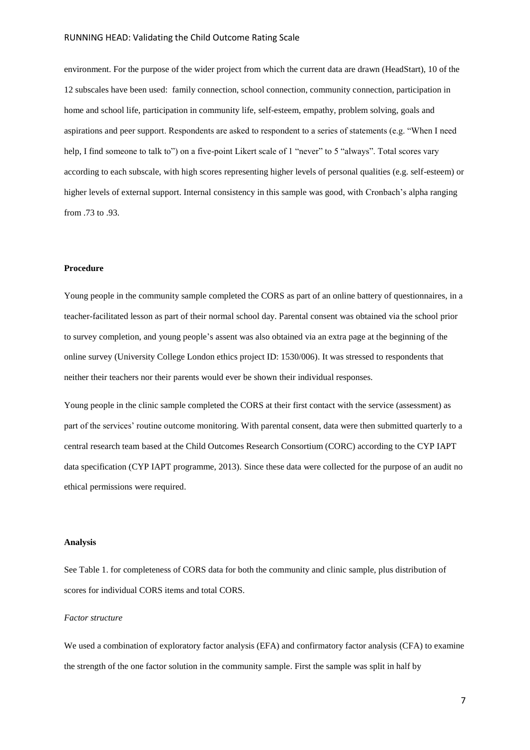environment. For the purpose of the wider project from which the current data are drawn (HeadStart), 10 of the 12 subscales have been used: family connection, school connection, community connection, participation in home and school life, participation in community life, self-esteem, empathy, problem solving, goals and aspirations and peer support. Respondents are asked to respondent to a series of statements (e.g. "When I need help, I find someone to talk to") on a five-point Likert scale of 1 "never" to 5 "always". Total scores vary according to each subscale, with high scores representing higher levels of personal qualities (e.g. self-esteem) or higher levels of external support. Internal consistency in this sample was good, with Cronbach's alpha ranging from .73 to .93.

# **Procedure**

Young people in the community sample completed the CORS as part of an online battery of questionnaires, in a teacher-facilitated lesson as part of their normal school day. Parental consent was obtained via the school prior to survey completion, and young people's assent was also obtained via an extra page at the beginning of the online survey (University College London ethics project ID: 1530/006). It was stressed to respondents that neither their teachers nor their parents would ever be shown their individual responses.

Young people in the clinic sample completed the CORS at their first contact with the service (assessment) as part of the services' routine outcome monitoring. With parental consent, data were then submitted quarterly to a central research team based at the Child Outcomes Research Consortium (CORC) according to the CYP IAPT data specification (CYP IAPT programme, 2013). Since these data were collected for the purpose of an audit no ethical permissions were required.

# **Analysis**

See Table 1. for completeness of CORS data for both the community and clinic sample, plus distribution of scores for individual CORS items and total CORS.

# *Factor structure*

We used a combination of exploratory factor analysis (EFA) and confirmatory factor analysis (CFA) to examine the strength of the one factor solution in the community sample. First the sample was split in half by

7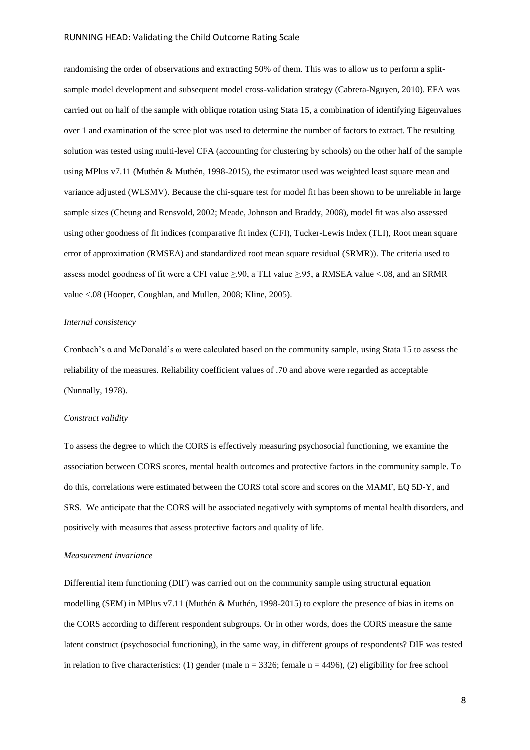randomising the order of observations and extracting 50% of them. This was to allow us to perform a splitsample model development and subsequent model cross-validation strategy (Cabrera-Nguyen, 2010). EFA was carried out on half of the sample with oblique rotation using Stata 15, a combination of identifying Eigenvalues over 1 and examination of the scree plot was used to determine the number of factors to extract. The resulting solution was tested using multi-level CFA (accounting for clustering by schools) on the other half of the sample using MPlus v7.11 (Muthén & Muthén, 1998-2015), the estimator used was weighted least square mean and variance adjusted (WLSMV). Because the chi-square test for model fit has been shown to be unreliable in large sample sizes (Cheung and Rensvold, 2002; Meade, Johnson and Braddy, 2008), model fit was also assessed using other goodness of fit indices (comparative fit index (CFI), Tucker-Lewis Index (TLI), Root mean square error of approximation (RMSEA) and standardized root mean square residual (SRMR)). The criteria used to assess model goodness of fit were a CFI value  $\geq 90$ , a TLI value  $\geq 95$ , a RMSEA value <.08, and an SRMR value <.08 (Hooper, Coughlan, and Mullen, 2008; Kline, 2005).

#### *Internal consistency*

Cronbach's  $\alpha$  and McDonald's  $\omega$  were calculated based on the community sample, using Stata 15 to assess the reliability of the measures. Reliability coefficient values of .70 and above were regarded as acceptable (Nunnally, 1978).

#### *Construct validity*

To assess the degree to which the CORS is effectively measuring psychosocial functioning, we examine the association between CORS scores, mental health outcomes and protective factors in the community sample. To do this, correlations were estimated between the CORS total score and scores on the MAMF, EQ 5D-Y, and SRS. We anticipate that the CORS will be associated negatively with symptoms of mental health disorders, and positively with measures that assess protective factors and quality of life.

#### *Measurement invariance*

Differential item functioning (DIF) was carried out on the community sample using structural equation modelling (SEM) in MPlus v7.11 (Muthén & Muthén, 1998-2015) to explore the presence of bias in items on the CORS according to different respondent subgroups. Or in other words, does the CORS measure the same latent construct (psychosocial functioning), in the same way, in different groups of respondents? DIF was tested in relation to five characteristics: (1) gender (male  $n = 3326$ ; female  $n = 4496$ ), (2) eligibility for free school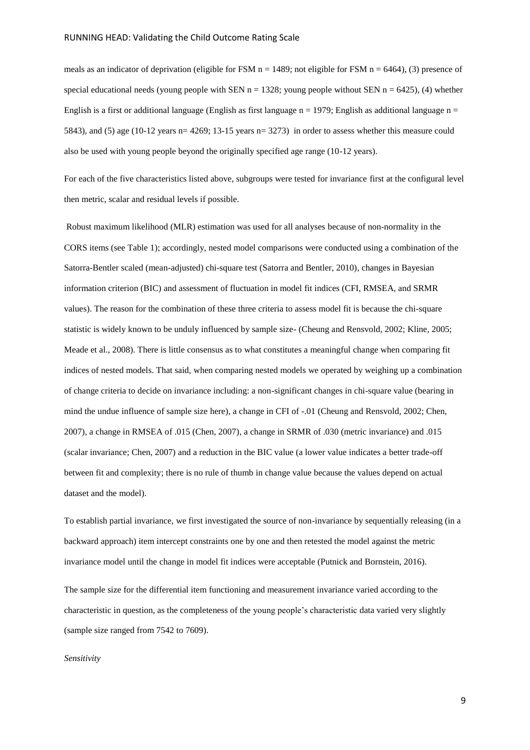meals as an indicator of deprivation (eligible for FSM  $n = 1489$ ; not eligible for FSM  $n = 6464$ ), (3) presence of special educational needs (young people with SEN  $n = 1328$ ; young people without SEN  $n = 6425$ ), (4) whether English is a first or additional language (English as first language  $n = 1979$ ; English as additional language  $n =$ 5843), and (5) age (10-12 years n= 4269; 13-15 years n= 3273) in order to assess whether this measure could also be used with young people beyond the originally specified age range (10-12 years).

For each of the five characteristics listed above, subgroups were tested for invariance first at the configural level then metric, scalar and residual levels if possible.

Robust maximum likelihood (MLR) estimation was used for all analyses because of non-normality in the CORS items (see Table 1); accordingly, nested model comparisons were conducted using a combination of the Satorra-Bentler scaled (mean-adjusted) chi-square test (Satorra and Bentler, 2010), changes in Bayesian information criterion (BIC) and assessment of fluctuation in model fit indices (CFI, RMSEA, and SRMR values). The reason for the combination of these three criteria to assess model fit is because the chi-square statistic is widely known to be unduly influenced by sample size- (Cheung and Rensvold, 2002; Kline, 2005; Meade et al., 2008). There is little consensus as to what constitutes a meaningful change when comparing fit indices of nested models. That said, when comparing nested models we operated by weighing up a combination of change criteria to decide on invariance including: a non-significant changes in chi-square value (bearing in mind the undue influence of sample size here), a change in CFI of -.01 (Cheung and Rensvold, 2002; Chen, 2007), a change in RMSEA of .015 (Chen, 2007), a change in SRMR of .030 (metric invariance) and .015 (scalar invariance; Chen, 2007) and a reduction in the BIC value (a lower value indicates a better trade-off between fit and complexity; there is no rule of thumb in change value because the values depend on actual dataset and the model).

To establish partial invariance, we first investigated the source of non-invariance by sequentially releasing (in a backward approach) item intercept constraints one by one and then retested the model against the metric invariance model until the change in model fit indices were acceptable (Putnick and Bornstein, 2016).

The sample size for the differential item functioning and measurement invariance varied according to the characteristic in question, as the completeness of the young people's characteristic data varied very slightly (sample size ranged from 7542 to 7609).

*Sensitivity*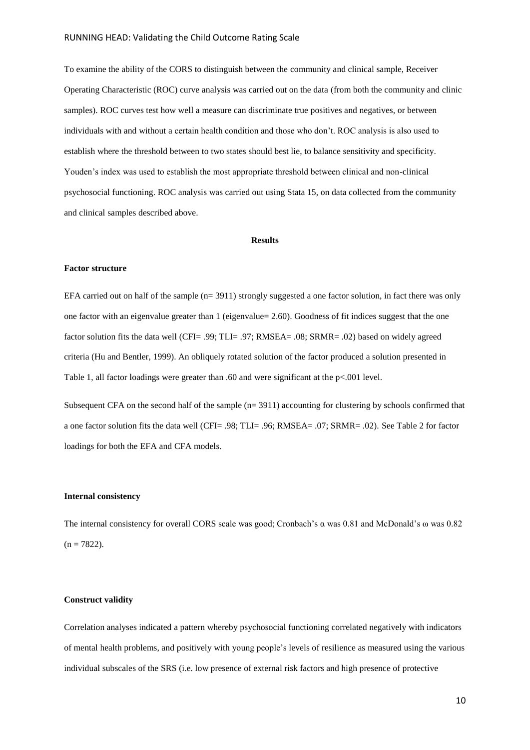To examine the ability of the CORS to distinguish between the community and clinical sample, Receiver Operating Characteristic (ROC) curve analysis was carried out on the data (from both the community and clinic samples). ROC curves test how well a measure can discriminate true positives and negatives, or between individuals with and without a certain health condition and those who don't. ROC analysis is also used to establish where the threshold between to two states should best lie, to balance sensitivity and specificity. Youden's index was used to establish the most appropriate threshold between clinical and non-clinical psychosocial functioning. ROC analysis was carried out using Stata 15, on data collected from the community and clinical samples described above.

#### **Results**

# **Factor structure**

EFA carried out on half of the sample  $(n= 3911)$  strongly suggested a one factor solution, in fact there was only one factor with an eigenvalue greater than 1 (eigenvalue= 2.60). Goodness of fit indices suggest that the one factor solution fits the data well (CFI= .99; TLI= .97; RMSEA= .08; SRMR= .02) based on widely agreed criteria (Hu and Bentler, 1999). An obliquely rotated solution of the factor produced a solution presented in Table 1, all factor loadings were greater than .60 and were significant at the p<.001 level.

Subsequent CFA on the second half of the sample (n= 3911) accounting for clustering by schools confirmed that a one factor solution fits the data well (CFI= .98; TLI= .96; RMSEA= .07; SRMR= .02). See Table 2 for factor loadings for both the EFA and CFA models.

#### **Internal consistency**

The internal consistency for overall CORS scale was good; Cronbach's α was 0.81 and McDonald's ω was 0.82  $(n = 7822)$ .

# **Construct validity**

Correlation analyses indicated a pattern whereby psychosocial functioning correlated negatively with indicators of mental health problems, and positively with young people's levels of resilience as measured using the various individual subscales of the SRS (i.e. low presence of external risk factors and high presence of protective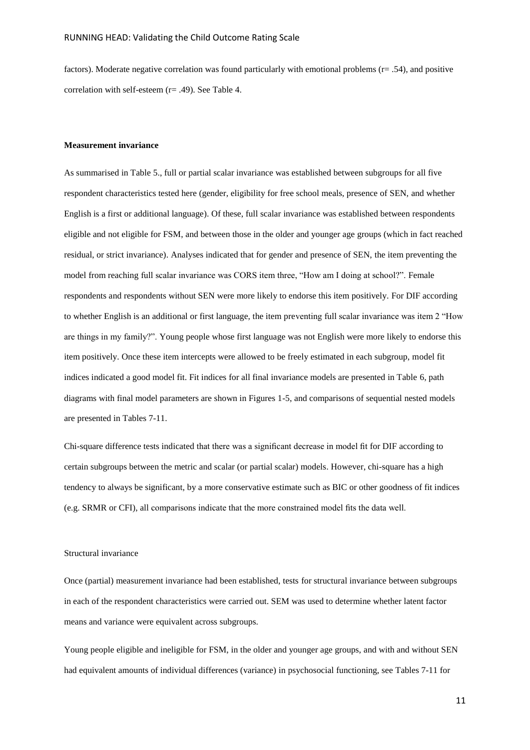factors). Moderate negative correlation was found particularly with emotional problems (r= .54), and positive correlation with self-esteem (r= .49). See Table 4.

### **Measurement invariance**

As summarised in Table 5., full or partial scalar invariance was established between subgroups for all five respondent characteristics tested here (gender, eligibility for free school meals, presence of SEN, and whether English is a first or additional language). Of these, full scalar invariance was established between respondents eligible and not eligible for FSM, and between those in the older and younger age groups (which in fact reached residual, or strict invariance). Analyses indicated that for gender and presence of SEN, the item preventing the model from reaching full scalar invariance was CORS item three, "How am I doing at school?". Female respondents and respondents without SEN were more likely to endorse this item positively. For DIF according to whether English is an additional or first language, the item preventing full scalar invariance was item 2 "How are things in my family?". Young people whose first language was not English were more likely to endorse this item positively. Once these item intercepts were allowed to be freely estimated in each subgroup, model fit indices indicated a good model fit. Fit indices for all final invariance models are presented in Table 6, path diagrams with final model parameters are shown in Figures 1-5, and comparisons of sequential nested models are presented in Tables 7-11.

Chi-square difference tests indicated that there was a significant decrease in model fit for DIF according to certain subgroups between the metric and scalar (or partial scalar) models. However, chi-square has a high tendency to always be significant, by a more conservative estimate such as BIC or other goodness of fit indices (e.g. SRMR or CFI), all comparisons indicate that the more constrained model fits the data well.

# Structural invariance

Once (partial) measurement invariance had been established, tests for structural invariance between subgroups in each of the respondent characteristics were carried out. SEM was used to determine whether latent factor means and variance were equivalent across subgroups.

Young people eligible and ineligible for FSM, in the older and younger age groups, and with and without SEN had equivalent amounts of individual differences (variance) in psychosocial functioning, see Tables 7-11 for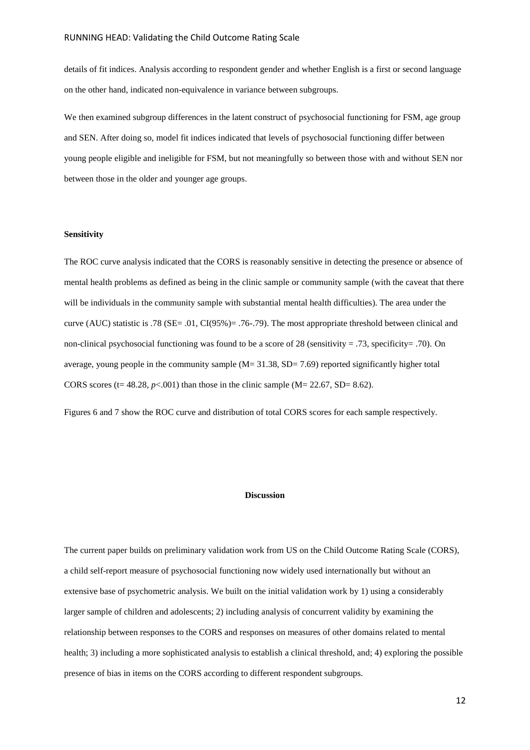details of fit indices. Analysis according to respondent gender and whether English is a first or second language on the other hand, indicated non-equivalence in variance between subgroups.

We then examined subgroup differences in the latent construct of psychosocial functioning for FSM, age group and SEN. After doing so, model fit indices indicated that levels of psychosocial functioning differ between young people eligible and ineligible for FSM, but not meaningfully so between those with and without SEN nor between those in the older and younger age groups.

#### **Sensitivity**

The ROC curve analysis indicated that the CORS is reasonably sensitive in detecting the presence or absence of mental health problems as defined as being in the clinic sample or community sample (with the caveat that there will be individuals in the community sample with substantial mental health difficulties). The area under the curve (AUC) statistic is .78 (SE= .01, CI(95%)= .76-.79). The most appropriate threshold between clinical and non-clinical psychosocial functioning was found to be a score of 28 (sensitivity = .73, specificity= .70). On average, young people in the community sample  $(M= 31.38, SD= 7.69)$  reported significantly higher total CORS scores ( $t= 48.28$ ,  $p<0.001$ ) than those in the clinic sample ( $M= 22.67$ , SD= 8.62).

Figures 6 and 7 show the ROC curve and distribution of total CORS scores for each sample respectively.

### **Discussion**

The current paper builds on preliminary validation work from US on the Child Outcome Rating Scale (CORS), a child self-report measure of psychosocial functioning now widely used internationally but without an extensive base of psychometric analysis. We built on the initial validation work by 1) using a considerably larger sample of children and adolescents; 2) including analysis of concurrent validity by examining the relationship between responses to the CORS and responses on measures of other domains related to mental health; 3) including a more sophisticated analysis to establish a clinical threshold, and; 4) exploring the possible presence of bias in items on the CORS according to different respondent subgroups.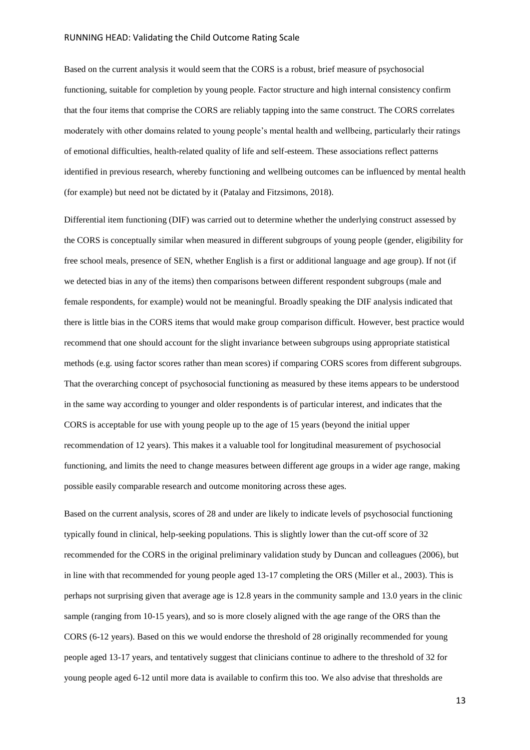Based on the current analysis it would seem that the CORS is a robust, brief measure of psychosocial functioning, suitable for completion by young people. Factor structure and high internal consistency confirm that the four items that comprise the CORS are reliably tapping into the same construct. The CORS correlates moderately with other domains related to young people's mental health and wellbeing, particularly their ratings of emotional difficulties, health-related quality of life and self-esteem. These associations reflect patterns identified in previous research, whereby functioning and wellbeing outcomes can be influenced by mental health (for example) but need not be dictated by it (Patalay and Fitzsimons, 2018).

Differential item functioning (DIF) was carried out to determine whether the underlying construct assessed by the CORS is conceptually similar when measured in different subgroups of young people (gender, eligibility for free school meals, presence of SEN, whether English is a first or additional language and age group). If not (if we detected bias in any of the items) then comparisons between different respondent subgroups (male and female respondents, for example) would not be meaningful. Broadly speaking the DIF analysis indicated that there is little bias in the CORS items that would make group comparison difficult. However, best practice would recommend that one should account for the slight invariance between subgroups using appropriate statistical methods (e.g. using factor scores rather than mean scores) if comparing CORS scores from different subgroups. That the overarching concept of psychosocial functioning as measured by these items appears to be understood in the same way according to younger and older respondents is of particular interest, and indicates that the CORS is acceptable for use with young people up to the age of 15 years (beyond the initial upper recommendation of 12 years). This makes it a valuable tool for longitudinal measurement of psychosocial functioning, and limits the need to change measures between different age groups in a wider age range, making possible easily comparable research and outcome monitoring across these ages.

Based on the current analysis, scores of 28 and under are likely to indicate levels of psychosocial functioning typically found in clinical, help-seeking populations. This is slightly lower than the cut-off score of 32 recommended for the CORS in the original preliminary validation study by Duncan and colleagues (2006), but in line with that recommended for young people aged 13-17 completing the ORS (Miller et al., 2003). This is perhaps not surprising given that average age is 12.8 years in the community sample and 13.0 years in the clinic sample (ranging from 10-15 years), and so is more closely aligned with the age range of the ORS than the CORS (6-12 years). Based on this we would endorse the threshold of 28 originally recommended for young people aged 13-17 years, and tentatively suggest that clinicians continue to adhere to the threshold of 32 for young people aged 6-12 until more data is available to confirm this too. We also advise that thresholds are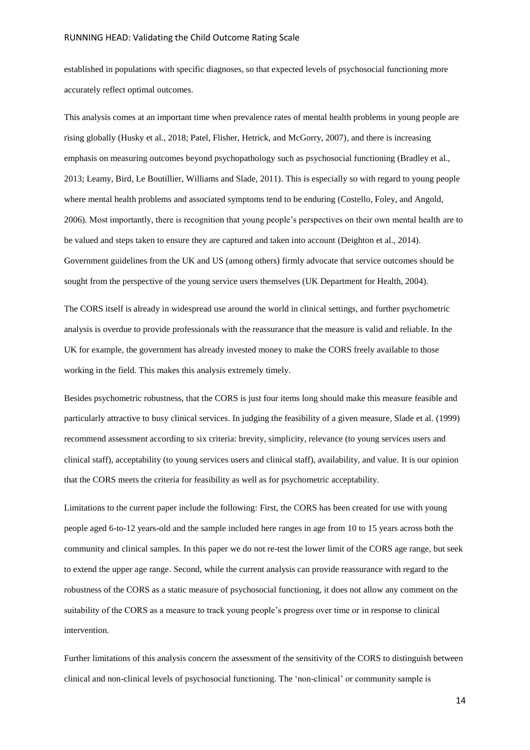established in populations with specific diagnoses, so that expected levels of psychosocial functioning more accurately reflect optimal outcomes.

This analysis comes at an important time when prevalence rates of mental health problems in young people are rising globally (Husky et al., 2018; Patel, Flisher, Hetrick, and McGorry, 2007), and there is increasing emphasis on measuring outcomes beyond psychopathology such as psychosocial functioning (Bradley et al., 2013; Leamy, Bird, Le Boutillier, Williams and Slade, 2011). This is especially so with regard to young people where mental health problems and associated symptoms tend to be enduring (Costello, Foley, and Angold, 2006). Most importantly, there is recognition that young people's perspectives on their own mental health are to be valued and steps taken to ensure they are captured and taken into account (Deighton et al., 2014). Government guidelines from the UK and US (among others) firmly advocate that service outcomes should be sought from the perspective of the young service users themselves (UK Department for Health, 2004).

The CORS itself is already in widespread use around the world in clinical settings, and further psychometric analysis is overdue to provide professionals with the reassurance that the measure is valid and reliable. In the UK for example, the government has already invested money to make the CORS freely available to those working in the field. This makes this analysis extremely timely.

Besides psychometric robustness, that the CORS is just four items long should make this measure feasible and particularly attractive to busy clinical services. In judging the feasibility of a given measure, Slade et al. (1999) recommend assessment according to six criteria: brevity, simplicity, relevance (to young services users and clinical staff), acceptability (to young services users and clinical staff), availability, and value. It is our opinion that the CORS meets the criteria for feasibility as well as for psychometric acceptability.

Limitations to the current paper include the following: First, the CORS has been created for use with young people aged 6-to-12 years-old and the sample included here ranges in age from 10 to 15 years across both the community and clinical samples. In this paper we do not re-test the lower limit of the CORS age range, but seek to extend the upper age range. Second, while the current analysis can provide reassurance with regard to the robustness of the CORS as a static measure of psychosocial functioning, it does not allow any comment on the suitability of the CORS as a measure to track young people's progress over time or in response to clinical intervention.

Further limitations of this analysis concern the assessment of the sensitivity of the CORS to distinguish between clinical and non-clinical levels of psychosocial functioning. The 'non-clinical' or community sample is

14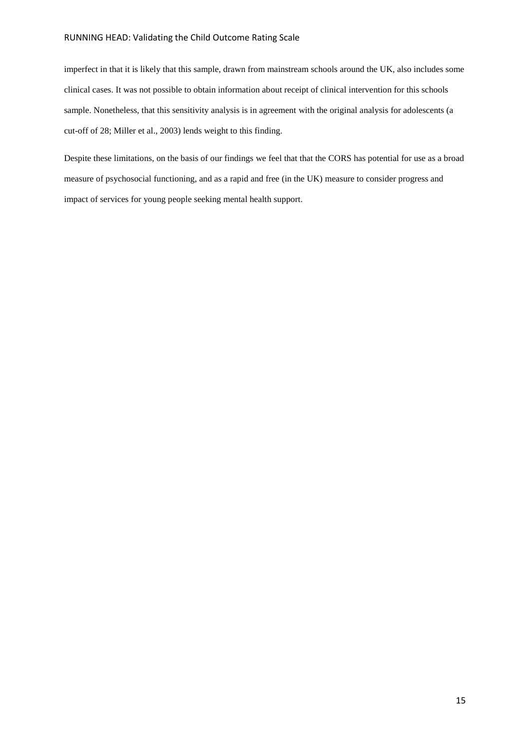imperfect in that it is likely that this sample, drawn from mainstream schools around the UK, also includes some clinical cases. It was not possible to obtain information about receipt of clinical intervention for this schools sample. Nonetheless, that this sensitivity analysis is in agreement with the original analysis for adolescents (a cut-off of 28; Miller et al., 2003) lends weight to this finding.

Despite these limitations, on the basis of our findings we feel that that the CORS has potential for use as a broad measure of psychosocial functioning, and as a rapid and free (in the UK) measure to consider progress and impact of services for young people seeking mental health support.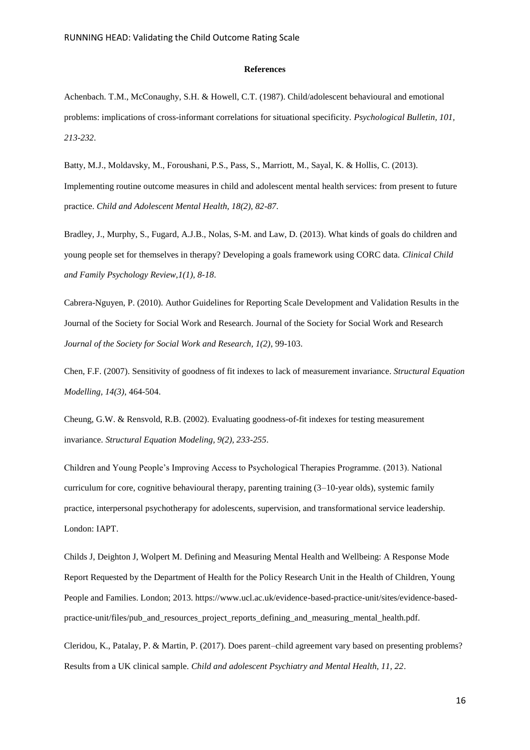#### **References**

Achenbach. T.M., McConaughy, S.H. & Howell, C.T. (1987). Child/adolescent behavioural and emotional problems: implications of cross-informant correlations for situational specificity. *Psychological Bulletin, 101, 213-232*.

Batty, M.J., Moldavsky, M., Foroushani, P.S., Pass, S., Marriott, M., Sayal, K. & Hollis, C. (2013). Implementing routine outcome measures in child and adolescent mental health services: from present to future practice. *Child and Adolescent Mental Health, 18(2), 82-87*.

Bradley, J., Murphy, S., Fugard, A.J.B., Nolas, S-M. and Law, D. (2013). What kinds of goals do children and young people set for themselves in therapy? Developing a goals framework using CORC data. *Clinical Child and Family Psychology Review,1(1), 8-18*.

Cabrera-Nguyen, P. (2010). Author Guidelines for Reporting Scale Development and Validation Results in the Journal of the Society for Social Work and Research. Journal of the Society for Social Work and Research *Journal of the Society for Social Work and Research, 1(2)*, 99-103.

Chen, F.F. (2007). Sensitivity of goodness of fit indexes to lack of measurement invariance. *Structural Equation Modelling, 14(3)*, 464-504.

Cheung, G.W. & Rensvold, R.B. (2002). Evaluating goodness-of-fit indexes for testing measurement invariance. *Structural Equation Modeling, 9(2), 233-255*.

Children and Young People's Improving Access to Psychological Therapies Programme. (2013). National curriculum for core, cognitive behavioural therapy, parenting training (3–10-year olds), systemic family practice, interpersonal psychotherapy for adolescents, supervision, and transformational service leadership. London: IAPT.

Childs J, Deighton J, Wolpert M. Defining and Measuring Mental Health and Wellbeing: A Response Mode Report Requested by the Department of Health for the Policy Research Unit in the Health of Children, Young People and Families. London; 2013. https://www.ucl.ac.uk/evidence-based-practice-unit/sites/evidence-basedpractice-unit/files/pub\_and\_resources\_project\_reports\_defining\_and\_measuring\_mental\_health.pdf.

Cleridou, K., Patalay, P. & Martin, P. (2017). Does parent–child agreement vary based on presenting problems? Results from a UK clinical sample. *Child and adolescent Psychiatry and Mental Health, 11, 22*.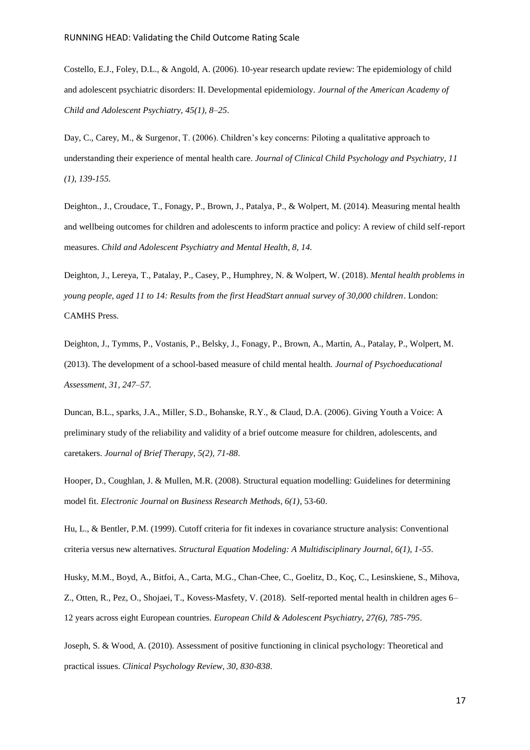Costello, E.J., Foley, D.L., & Angold, A. (2006). 10-year research update review: The epidemiology of child and adolescent psychiatric disorders: II. Developmental epidemiology. *Journal of the American Academy of Child and Adolescent Psychiatry, 45(1), 8–25*.

Day, C., Carey, M., & Surgenor, T. (2006). Children's key concerns: Piloting a qualitative approach to understanding their experience of mental health care. *Journal of Clinical Child Psychology and Psychiatry, 11 (1), 139-155.*

Deighton., J., Croudace, T., Fonagy, P., Brown, J., Patalya, P., & Wolpert, M. (2014). Measuring mental health and wellbeing outcomes for children and adolescents to inform practice and policy: A review of child self-report measures. *Child and Adolescent Psychiatry and Mental Health, 8, 14.*

Deighton, J., Lereya, T., Patalay, P., Casey, P., Humphrey, N. & Wolpert, W. (2018). *Mental health problems in young people, aged 11 to 14: Results from the first HeadStart annual survey of 30,000 children*. London: CAMHS Press.

Deighton, J., Tymms, P., Vostanis, P., Belsky, J., Fonagy, P., Brown, A., Martin, A., Patalay, P., Wolpert, M. (2013). The development of a school-based measure of child mental health. *Journal of Psychoeducational Assessment, 31, 247–57.*

Duncan, B.L., sparks, J.A., Miller, S.D., Bohanske, R.Y., & Claud, D.A. (2006). Giving Youth a Voice: A preliminary study of the reliability and validity of a brief outcome measure for children, adolescents, and caretakers. *Journal of Brief Therapy, 5(2), 71-88*.

Hooper, D., Coughlan, J. & Mullen, M.R. (2008). Structural equation modelling: Guidelines for determining model fit. *Electronic Journal on Business Research Methods, 6(1)*, 53-60.

Hu, L., & Bentler, P.M. (1999). Cutoff criteria for fit indexes in covariance structure analysis: Conventional criteria versus new alternatives. *Structural Equation Modeling: A Multidisciplinary Journal, 6(1), 1-55*.

Husky, M.M., Boyd, A., Bitfoi, A., Carta, M.G., Chan-Chee, C., Goelitz, D., Koç, C., Lesinskiene, S., Mihova, Z., Otten, R., Pez, O., Shojaei, T., Kovess-Masfety, V. (2018). Self-reported mental health in children ages 6– 12 years across eight European countries. *European Child & Adolescent Psychiatry, 27(6), 785-795*.

Joseph, S. & Wood, A. (2010). Assessment of positive functioning in clinical psychology: Theoretical and practical issues. *Clinical Psychology Review, 30, 830-838*.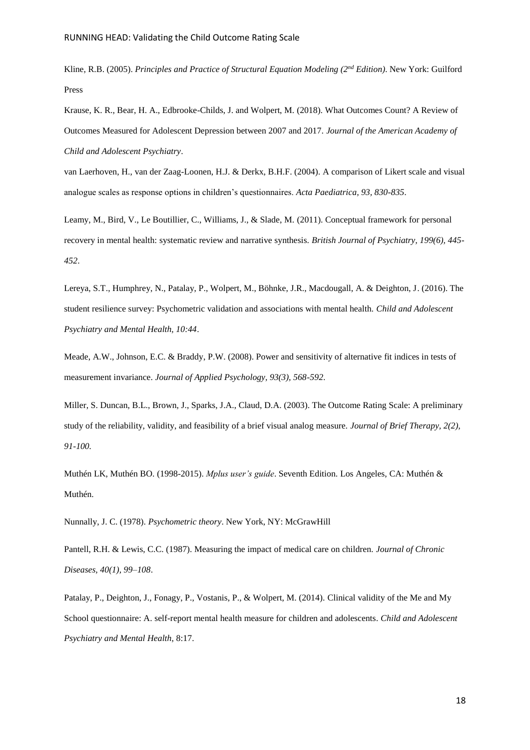Kline, R.B. (2005). *Principles and Practice of Structural Equation Modeling (2nd Edition)*. New York: Guilford Press

Krause, K. R., Bear, H. A., Edbrooke-Childs, J. and Wolpert, M. (2018). What Outcomes Count? A Review of Outcomes Measured for Adolescent Depression between 2007 and 2017. *Journal of the American Academy of Child and Adolescent Psychiatry*.

van Laerhoven, H., van der Zaag-Loonen, H.J. & Derkx, B.H.F. (2004). A comparison of Likert scale and visual analogue scales as response options in children's questionnaires. *Acta Paediatrica, 93, 830-835*.

Leamy, M., Bird, V., Le Boutillier, C., Williams, J., & Slade, M. (2011). Conceptual framework for personal recovery in mental health: systematic review and narrative synthesis. *British Journal of Psychiatry, 199(6), 445- 452*.

Lereya, S.T., Humphrey, N., Patalay, P., Wolpert, M., Böhnke, J.R., Macdougall, A. & Deighton, J. (2016). The student resilience survey: Psychometric validation and associations with mental health. *Child and Adolescent Psychiatry and Mental Health, 10:44*.

Meade, A.W., Johnson, E.C. & Braddy, P.W. (2008). Power and sensitivity of alternative fit indices in tests of measurement invariance. *Journal of Applied Psychology, 93(3), 568-592*.

Miller, S. Duncan, B.L., Brown, J., Sparks, J.A., Claud, D.A. (2003). The Outcome Rating Scale: A preliminary study of the reliability, validity, and feasibility of a brief visual analog measure. *Journal of Brief Therapy, 2(2), 91-100.*

Muthén LK, Muthén BO. (1998-2015). *Mplus user's guide*. Seventh Edition. Los Angeles, CA: Muthén & Muthén.

Nunnally, J. C. (1978). *Psychometric theory*. New York, NY: McGrawHill

Pantell, R.H. & Lewis, C.C. (1987). Measuring the impact of medical care on children. *Journal of Chronic Diseases, 40(1), 99–108*.

Patalay, P., Deighton, J., Fonagy, P., Vostanis, P., & Wolpert, M. (2014). Clinical validity of the Me and My School questionnaire: A. self-report mental health measure for children and adolescents. *Child and Adolescent Psychiatry and Mental Health*, 8:17.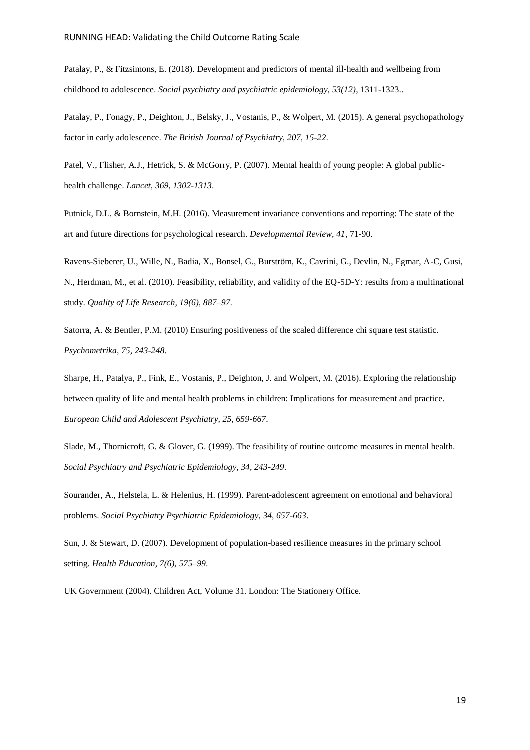Patalay, P., & Fitzsimons, E. (2018). Development and predictors of mental ill-health and wellbeing from childhood to adolescence. *Social psychiatry and psychiatric epidemiology, 53(12)*, 1311-1323..

Patalay, P., Fonagy, P., Deighton, J., Belsky, J., Vostanis, P., & Wolpert, M. (2015). A general psychopathology factor in early adolescence. *The British Journal of Psychiatry, 207, 15-22*.

Patel, V., Flisher, A.J., Hetrick, S. & McGorry, P. (2007). Mental health of young people: A global publichealth challenge. *Lancet, 369, 1302-1313*.

Putnick, D.L. & Bornstein, M.H. (2016). Measurement invariance conventions and reporting: The state of the art and future directions for psychological research. *Developmental Review, 41*, 71-90.

Ravens-Sieberer, U., Wille, N., Badia, X., Bonsel, G., Burström, K., Cavrini, G., Devlin, N., Egmar, A-C, Gusi, N., Herdman, M., et al. (2010). Feasibility, reliability, and validity of the EQ-5D-Y: results from a multinational study. *Quality of Life Research, 19(6), 887–97*.

Satorra, A. & Bentler, P.M. (2010) Ensuring positiveness of the scaled difference chi square test statistic. *Psychometrika, 75, 243-248*.

Sharpe, H., Patalya, P., Fink, E., Vostanis, P., Deighton, J. and Wolpert, M. (2016). Exploring the relationship between quality of life and mental health problems in children: Implications for measurement and practice. *European Child and Adolescent Psychiatry, 25, 659-667*.

Slade, M., Thornicroft, G. & Glover, G. (1999). The feasibility of routine outcome measures in mental health. *Social Psychiatry and Psychiatric Epidemiology, 34, 243-249*.

Sourander, A., Helstela, L. & Helenius, H. (1999). Parent-adolescent agreement on emotional and behavioral problems. *Social Psychiatry Psychiatric Epidemiology, 34, 657-663*.

Sun, J. & Stewart, D. (2007). Development of population-based resilience measures in the primary school setting. *Health Education, 7(6), 575–99*.

UK Government (2004). Children Act, Volume 31. London: The Stationery Office.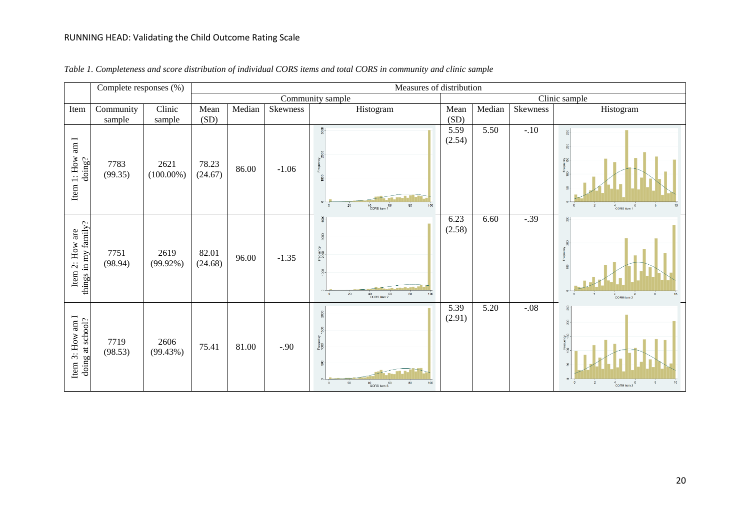|                                             | Complete responses (%) |                      |                  |        |          | Measures of distribution                                                                              |                |        |          |                                                                                     |
|---------------------------------------------|------------------------|----------------------|------------------|--------|----------|-------------------------------------------------------------------------------------------------------|----------------|--------|----------|-------------------------------------------------------------------------------------|
|                                             |                        |                      |                  |        |          | Community sample                                                                                      |                |        |          | Clinic sample                                                                       |
| Item                                        | Community              | Clinic               | Mean             | Median | Skewness | Histogram                                                                                             | Mean           | Median | Skewness | Histogram                                                                           |
|                                             | sample                 | sample               | (SD)             |        |          |                                                                                                       | (SD)           |        |          |                                                                                     |
| $\lim$ I<br>$1:$ How $\,$<br>doing?<br>Item | 7783<br>(99.35)        | 2621<br>$(100.00\%)$ | 78.23<br>(24.67) | 86.00  | $-1.06$  | 3000<br>$\circ$<br>20<br>$^{40}$ CORS item 1 $^{60}$<br>80<br>100                                     | 5.59<br>(2.54) | 5.50   | $-.10$   | <b>Sã</b><br>4<br>CORS item                                                         |
| things in my family?<br>Item 2: How are     | 7751<br>(98.94)        | 2619<br>$(99.92\%)$  | 82.01<br>(24.68) | 96.00  | $-1.35$  | $rac{8}{1}$<br>OOOZ<br>Si<br>g<br>$\overline{0}$<br>20<br>100<br>60<br>CORS item 2                    | 6.23<br>(2.58) | 6.60   | $-.39$   | CORS item 2                                                                         |
| Item 3: How am I<br>doing at school?        | 7719<br>(98.53)        | 2606<br>(99.43%)     | 75.41            | 81.00  | $-.90$   | 2000<br>1500<br>Freque<br>1000<br>$\frac{8}{2}$<br>20<br>$^{40}$ CORS item 3<br>100<br>$\Omega$<br>80 | 5.39<br>(2.91) | 5.20   | $-.08$   | $\frac{5}{22}$<br>စ္ခ္အဆိ<br>Frequer<br>IOD<br>$\overline{2}$<br>$^{4}$ CORS item 3 |

*Table 1. Completeness and score distribution of individual CORS items and total CORS in community and clinic sample*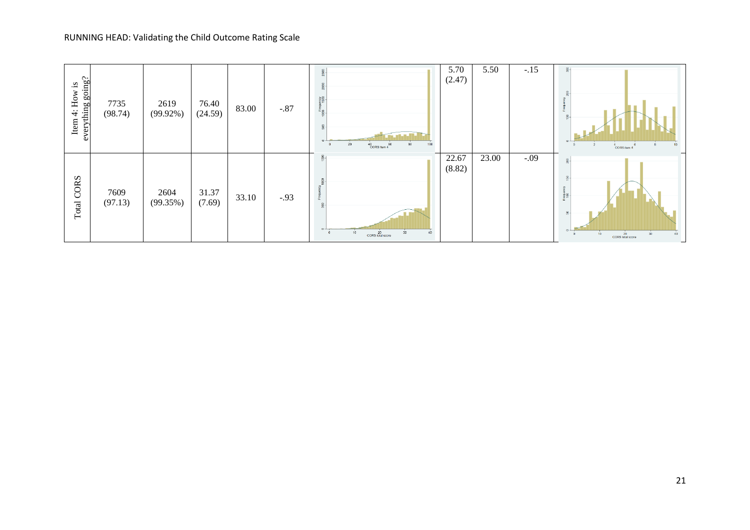| Item 4: How is<br>everything $g\text{oin}g$ ? | 7735<br>(98.74) | 2619<br>$(99.92\%)$ | 76.40<br>(24.59) | 83.00 | $-.87$ | 8<br>ξã<br>Œ٥<br><b>Controlled Bar</b><br>$20\degree$<br>100<br>80<br>$^{40}_{\hbox{CORS item 4}}$ $^{60}_{\hbox{}}$ | 5.70<br>(2.47)  | 5.50  | $-.15$ | $\frac{8}{2}$<br>CORS item 4                                                                   |
|-----------------------------------------------|-----------------|---------------------|------------------|-------|--------|----------------------------------------------------------------------------------------------------------------------|-----------------|-------|--------|------------------------------------------------------------------------------------------------|
| Total CORS                                    | 7609<br>(97.13) | 2604<br>(99.35%)    | 31.37<br>(7.69)  | 33.10 | $-.93$ | $rac{8}{5}$<br>$\circ$<br>10<br>$20$<br>CORS total score<br>30 <sub>2</sub>                                          | 22.67<br>(8.82) | 23.00 | $-.09$ | $\frac{8}{2}$<br>형<br>$\circ$ $\overline{\phantom{0}}$<br>30<br>$20$<br>CORS total score<br>10 |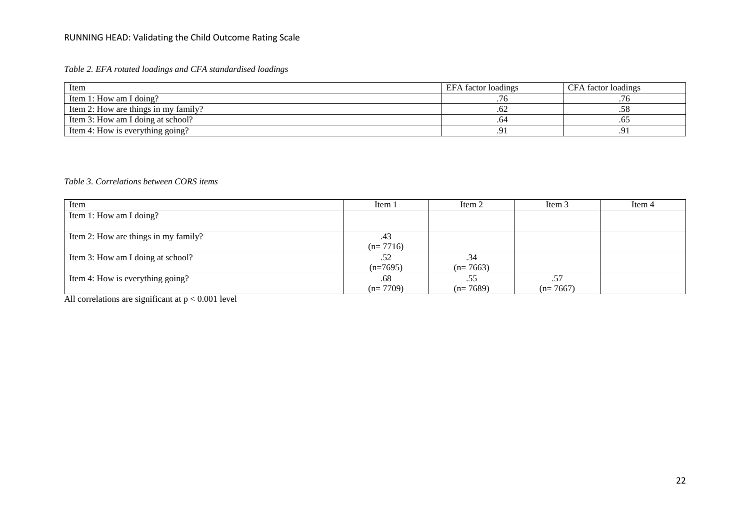*Table 2. EFA rotated loadings and CFA standardised loadings* 

| Item                                 | EFA factor loadings | CFA factor loadings |
|--------------------------------------|---------------------|---------------------|
| Item 1: How am I doing?              |                     |                     |
| Item 2: How are things in my family? |                     |                     |
| Item 3: How am I doing at school?    | .64                 | .UJ                 |
| Item 4: How is everything going?     |                     |                     |

# *Table 3. Correlations between CORS items*

| Item                                 | Item 1     | Item 2     | Item 3     | Item 4 |
|--------------------------------------|------------|------------|------------|--------|
| Item 1: How am I doing?              |            |            |            |        |
|                                      |            |            |            |        |
| Item 2: How are things in my family? | .43        |            |            |        |
|                                      | $(n=7716)$ |            |            |        |
| Item 3: How am I doing at school?    | .52        | .34        |            |        |
|                                      | $(n=7695)$ | $(n=7663)$ |            |        |
| Item 4: How is everything going?     | .68        | .55        | .57        |        |
|                                      | $(n=7709)$ | $(n=7689)$ | $(n=7667)$ |        |

All correlations are significant at  $p < 0.001$  level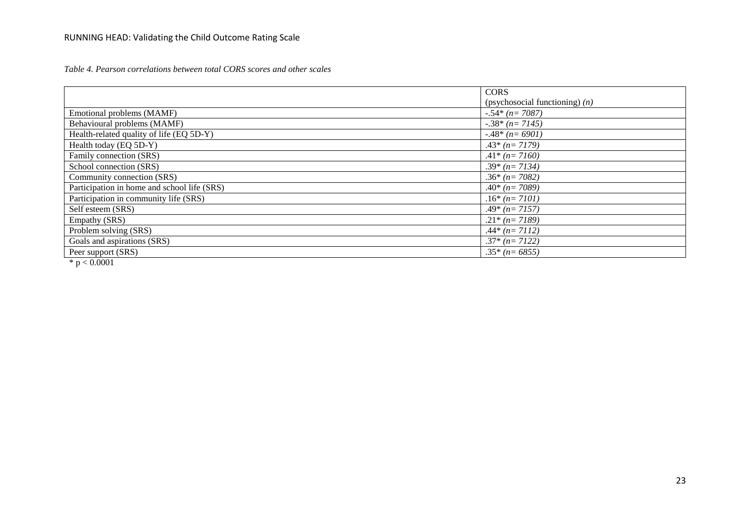*Table 4. Pearson correlations between total CORS scores and other scales*

|                                             | <b>CORS</b>                      |
|---------------------------------------------|----------------------------------|
|                                             | (psychosocial functioning) $(n)$ |
| Emotional problems (MAMF)                   | $-.54*(n=7087)$                  |
| Behavioural problems (MAMF)                 | $-.38*(n=7145)$                  |
| Health-related quality of life (EQ 5D-Y)    | $-0.48*(n=6901)$                 |
| Health today (EQ 5D-Y)                      | $.43*(n=7179)$                   |
| Family connection (SRS)                     | $.41*(n=7160)$                   |
| School connection (SRS)                     | $.39*(n=7134)$                   |
| Community connection (SRS)                  | $.36*(n=7082)$                   |
| Participation in home and school life (SRS) | $.40*(n=7089)$                   |
| Participation in community life (SRS)       | $.16*(n=7101)$                   |
| Self esteem (SRS)                           | $.49*(n=7157)$                   |
| Empathy (SRS)                               | $.21*(n=7189)$                   |
| Problem solving (SRS)                       | $.44*(n=7112)$                   |
| Goals and aspirations (SRS)                 | $.37*(n=7122)$                   |
| Peer support (SRS)                          | $.35*(n=6855)$                   |
| $\sim$ $\sim$ $\sim$ $\sim$ $\sim$ $\sim$   |                                  |

 $*$  p  $< 0.0001$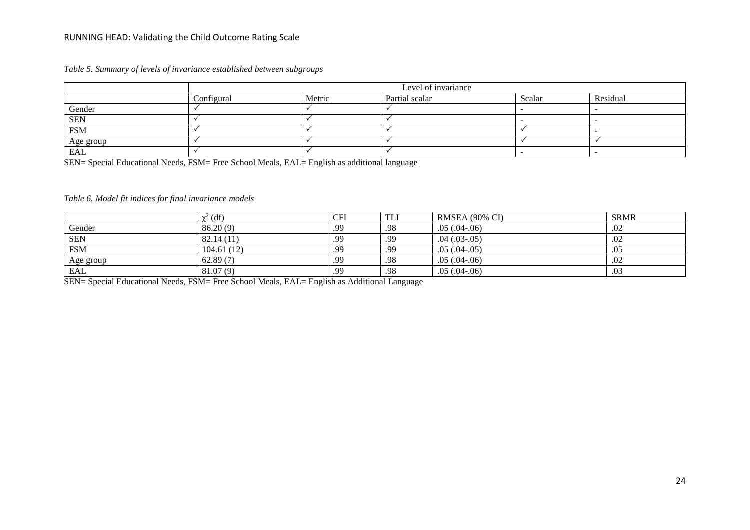|  |  |  |  |  |  | Table 5. Summary of levels of invariance established between subgroups |
|--|--|--|--|--|--|------------------------------------------------------------------------|
|--|--|--|--|--|--|------------------------------------------------------------------------|

|            |            |        | Level of invariance |        |          |
|------------|------------|--------|---------------------|--------|----------|
|            | Configural | Metric | Partial scalar      | Scalar | Residual |
| Gender     |            |        |                     |        |          |
| <b>SEN</b> |            |        |                     |        |          |
| <b>FSM</b> |            |        |                     |        |          |
| Age group  |            |        |                     |        |          |
| <b>EAL</b> |            |        |                     |        |          |

SEN= Special Educational Needs, FSM= Free School Meals, EAL= English as additional language

# *Table 6. Model fit indices for final invariance models*

|            | $\chi^2$ (df) | CFI | <b>TLI</b> | RMSEA (90% CI)    | <b>SRMR</b> |
|------------|---------------|-----|------------|-------------------|-------------|
| Gender     | 86.20(9)      | .99 | .98        | $.05(.04-.06)$    | .02         |
| <b>SEN</b> | 82.14(11)     | .99 | .99        | $.04$ $(.03-.05)$ | .02         |
| <b>FSM</b> | 104.61(12)    | .99 | .99        | $.05(.04-.05)$    | .05         |
| Age group  | 62.89(7)      | .99 | .98        | $.05(.04-.06)$    | .02         |
| EAL        | 81.07(9)      | .99 | .98        | $.05(.04-.06)$    | .03         |

SEN= Special Educational Needs, FSM= Free School Meals, EAL= English as Additional Language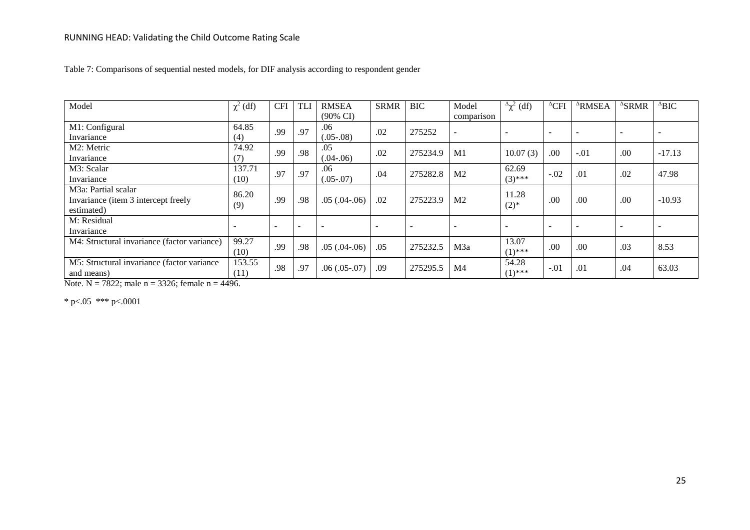| Model                                       | $\chi^2$ (df) | <b>CFI</b> | TLI                      | <b>RMSEA</b><br>$(90\% \text{ CI})$ | <b>SRMR</b> | <b>BIC</b> | Model<br>comparison      | $^{\Delta}$ χ <sup>2</sup> (df) | $^{\Delta}$ CFI          | <sup>A</sup> RMSEA       | $\triangle$ SRMR         | $^{\Delta}BIC$           |
|---------------------------------------------|---------------|------------|--------------------------|-------------------------------------|-------------|------------|--------------------------|---------------------------------|--------------------------|--------------------------|--------------------------|--------------------------|
| M1: Configural                              | 64.85         | .99        | .97                      | .06                                 | .02         | 275252     | $\overline{\phantom{a}}$ |                                 | -                        | $\overline{\phantom{0}}$ | $\overline{\phantom{a}}$ | $\overline{\phantom{0}}$ |
| Invariance                                  | (4)           |            |                          | $(.05-.08)$                         |             |            |                          |                                 |                          |                          |                          |                          |
| M2: Metric                                  | 74.92         | .99        | .98                      | .05                                 | .02         | 275234.9   | M <sub>1</sub>           | 10.07(3)                        | .00                      | $-.01$                   | .00                      | $-17.13$                 |
| Invariance                                  | (7)           |            |                          | $(.04-.06)$                         |             |            |                          |                                 |                          |                          |                          |                          |
| M3: Scalar                                  | 137.71        | .97        | .97                      | .06                                 | .04         | 275282.8   | M <sub>2</sub>           | 62.69                           | $-.02$                   | .01                      | .02                      | 47.98                    |
| Invariance                                  | (10)          |            |                          | $(.05-.07)$                         |             |            |                          | $(3)$ ***                       |                          |                          |                          |                          |
| M <sub>3</sub> a: Partial scalar            | 86.20         |            |                          |                                     |             |            |                          | 11.28                           |                          |                          |                          |                          |
| Invariance (item 3 intercept freely         | (9)           | .99        | .98                      | $.05(.04-.06)$                      | .02         | 275223.9   | M <sub>2</sub>           | $(2)$ *                         | .00                      | .00                      | .00                      | $-10.93$                 |
| estimated)                                  |               |            |                          |                                     |             |            |                          |                                 |                          |                          |                          |                          |
| M: Residual                                 |               | $\equiv$   | $\overline{\phantom{0}}$ | $\overline{\phantom{0}}$            |             |            |                          |                                 | $\overline{\phantom{a}}$ | $\overline{\phantom{a}}$ | $\overline{a}$           |                          |
| Invariance                                  |               |            |                          |                                     |             |            |                          |                                 |                          |                          |                          |                          |
| M4: Structural invariance (factor variance) | 99.27         | .99        |                          |                                     |             |            |                          | 13.07                           | .00                      |                          |                          |                          |
|                                             | (10)          |            | .98                      | $.05(.04-.06)$                      | .05         | 275232.5   | M <sub>3</sub> a         | $(1)$ ***                       |                          | .00                      | .03                      | 8.53                     |
| M5: Structural invariance (factor variance  | 153.55        | .98        |                          |                                     |             |            |                          | 54.28                           |                          |                          |                          |                          |
| and means)                                  | (11)          |            | .97                      | $.06(.05-.07)$                      | .09         | 275295.5   | M <sub>4</sub>           | $(1)$ ***                       | $-.01$                   | .01                      | .04                      | 63.03                    |

Table 7: Comparisons of sequential nested models, for DIF analysis according to respondent gender

Note. N = 7822; male  $n = 3326$ ; female  $n = 4496$ .

\* p<.05 \*\*\* p<.0001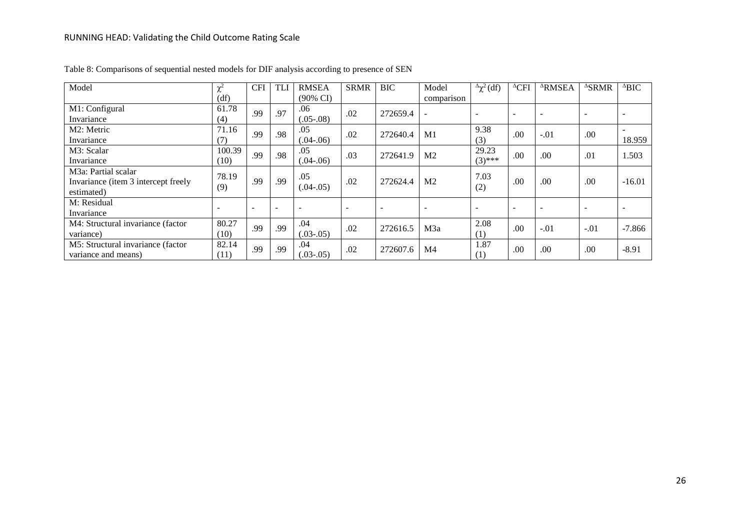| Model                               | $\mathbf{v}^2$           | <b>CFI</b>               | <b>TLI</b>               | <b>RMSEA</b>             | <b>SRMR</b>              | <b>BIC</b>               | Model                    | $^{\Delta}$ χ <sup>2</sup> (df) | $^{\Delta}$ CFI          | <sup>A</sup> RMSEA | $\triangle$ SRMR         | $^{\Delta}BIC$ |
|-------------------------------------|--------------------------|--------------------------|--------------------------|--------------------------|--------------------------|--------------------------|--------------------------|---------------------------------|--------------------------|--------------------|--------------------------|----------------|
|                                     | (df)                     |                          |                          | $(90\% \text{ CI})$      |                          |                          | comparison               |                                 |                          |                    |                          |                |
| M1: Configural                      | 61.78                    | .99                      | .97                      | .06                      | .02                      | 272659.4                 |                          | <b>1</b>                        |                          |                    | $\overline{\phantom{a}}$ |                |
| Invariance                          | (4)                      |                          |                          | $(.05-.08)$              |                          |                          |                          |                                 | $\overline{\phantom{0}}$ |                    |                          |                |
| M2: Metric                          | 71.16                    | .99                      | .98                      | .05                      | .02                      | 272640.4                 | M1                       | 9.38                            | .00                      | $-.01$             | .00                      |                |
| Invariance                          | (7)                      |                          |                          | $(.04-.06)$              |                          |                          |                          | (3)                             |                          |                    |                          | 18.959         |
| M3: Scalar                          | 100.39                   | .99                      | .98                      | .05                      | .03                      | 272641.9                 | M <sub>2</sub>           | 29.23                           | .00                      | .00                | .01                      | 1.503          |
| Invariance                          | (10)                     |                          |                          | $0.04 - 0.06$            |                          |                          |                          | $(3)$ ***                       |                          |                    |                          |                |
| M <sub>3</sub> a: Partial scalar    | 78.19                    |                          |                          | .05                      |                          |                          |                          | 7.03                            |                          |                    |                          |                |
| Invariance (item 3 intercept freely | (9)                      | .99                      | .99                      | $(.04-.05)$              | .02                      | 272624.4                 | M <sub>2</sub>           | (2)                             | .00                      | .00                | $.00 \,$                 | $-16.01$       |
| estimated)                          |                          |                          |                          |                          |                          |                          |                          |                                 |                          |                    |                          |                |
| M: Residual                         | $\overline{\phantom{a}}$ | $\overline{\phantom{a}}$ |                          |                          |                          | $\overline{\phantom{a}}$ |                          |                                 |                          |                    |                          |                |
| Invariance                          |                          |                          | $\overline{\phantom{a}}$ | $\overline{\phantom{a}}$ | $\overline{\phantom{0}}$ |                          | $\overline{\phantom{a}}$ | $\overline{\phantom{a}}$        | $\overline{\phantom{a}}$ |                    | $\overline{\phantom{a}}$ |                |
| M4: Structural invariance (factor   | 80.27                    | .99                      | .99                      | .04                      | .02                      | 272616.5                 | M3a                      | 2.08                            | .00                      | $-.01$             | $-.01$                   | $-7.866$       |
| variance)                           | (10)                     |                          |                          | $(.03-.05)$              |                          |                          |                          | (1)                             |                          |                    |                          |                |
| M5: Structural invariance (factor   | 82.14                    | .99                      | .99                      | .04                      | .02                      | 272607.6                 | M <sub>4</sub>           | 1.87                            | .00                      | .00                | .00                      | $-8.91$        |
| variance and means)                 | (11)                     |                          |                          | $(.03-.05)$              |                          |                          |                          | (1)                             |                          |                    |                          |                |

Table 8: Comparisons of sequential nested models for DIF analysis according to presence of SEN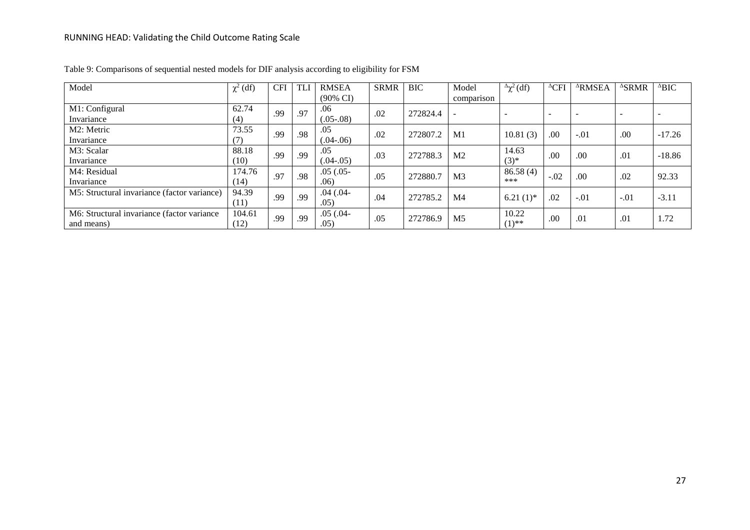| Model                                       | $\chi^2$ (df) | <b>CFI</b> | <b>TL</b> | <b>RMSEA</b>        | <b>SRMR</b> | <b>BIC</b> | Model          | $\Delta \chi^2$ (df)     | $^{\Delta}$ CFI          | <sup>A</sup> RMSEA | $\triangle$ SRMR         | $^{\Delta}BIC$ |
|---------------------------------------------|---------------|------------|-----------|---------------------|-------------|------------|----------------|--------------------------|--------------------------|--------------------|--------------------------|----------------|
|                                             |               |            |           | $(90\% \text{ CI})$ |             |            | comparison     |                          |                          |                    |                          |                |
| M1: Configural                              | 62.74         | .99        | .97       | .06                 | .02         | 272824.4   |                | $\overline{\phantom{a}}$ | $\overline{\phantom{a}}$ |                    | $\overline{\phantom{a}}$ |                |
| Invariance                                  | (4)           |            |           | $(.05-.08)$         |             |            |                |                          |                          |                    |                          |                |
| M2: Metric                                  | 73.55         | .99        | .98       | .05                 | .02         | 272807.2   | M1             | 10.81(3)                 | .00                      | $-.01$             | .00.                     | $-17.26$       |
| Invariance                                  | (7)           |            |           | $(.04-.06)$         |             |            |                |                          |                          |                    |                          |                |
| M3: Scalar                                  | 88.18         | .99        | .99       | .05                 | .03         | 272788.3   | M <sub>2</sub> | 14.63                    | .00                      | .00                | .01                      | $-18.86$       |
| Invariance                                  | (10)          |            |           | $(.04-.05)$         |             |            |                | $(3)^{*}$                |                          |                    |                          |                |
| M4: Residual                                | 174.76        | .97        | .98       | $.05(.05 -$         | .05         | 272880.7   | M <sub>3</sub> | 86.58(4)                 | $-.02$                   | .00                | .02                      | 92.33          |
| Invariance                                  | (14)          |            |           | .06)                |             |            |                | ***                      |                          |                    |                          |                |
| M5: Structural invariance (factor variance) | 94.39         | .99        | .99       | $.04$ $(.04 -$      | .04         | 272785.2   | M <sub>4</sub> |                          | .02                      | $-.01$             | $-.01$                   | $-3.11$        |
|                                             | (11)          |            |           | .05)                |             |            |                | $6.21(1)$ *              |                          |                    |                          |                |
| M6: Structural invariance (factor variance) | 104.61        |            | .99       | $.05(.04 -$         |             |            |                | 10.22                    |                          |                    |                          |                |
| and means)                                  | (12)          | .99        |           | .05)                | .05         | 272786.9   | M <sub>5</sub> | $(1)$ **                 | .00                      | .01                | .01                      | 1.72           |

Table 9: Comparisons of sequential nested models for DIF analysis according to eligibility for FSM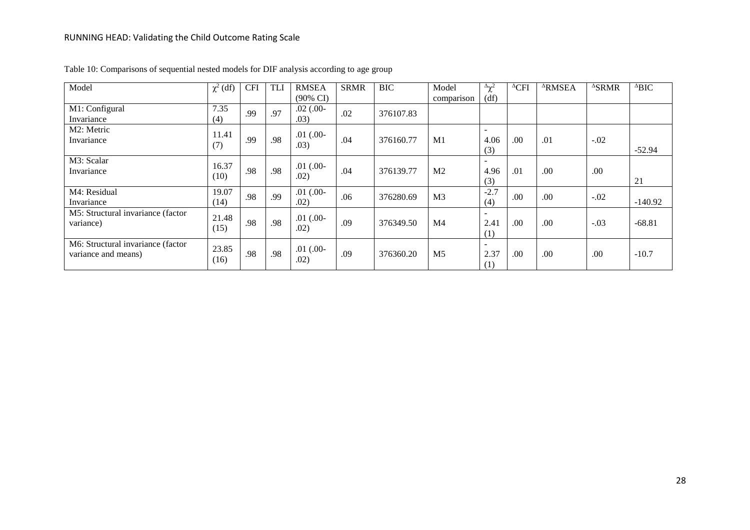| Model                             | $\chi^2$ (df) | <b>CFI</b> | <b>TLI</b> | <b>RMSEA</b>        | <b>SRMR</b> | <b>BIC</b> | Model          | $\Delta \chi^2$          | $^{\Delta}$ CFI  | <sup>A</sup> RMSEA | $\triangle$ SRMR | $^{\Delta}BIC$ |
|-----------------------------------|---------------|------------|------------|---------------------|-------------|------------|----------------|--------------------------|------------------|--------------------|------------------|----------------|
|                                   |               |            |            | $(90\% \text{ CI})$ |             |            | comparison     | (df)                     |                  |                    |                  |                |
| M1: Configural                    | 7.35          | .99        | .97        | $.02$ $(.00 -$      | .02         | 376107.83  |                |                          |                  |                    |                  |                |
| Invariance                        | (4)           |            |            | .03)                |             |            |                |                          |                  |                    |                  |                |
| M2: Metric                        | 11.41         |            |            | $.01$ $(.00 -$      |             |            |                |                          |                  |                    |                  |                |
| Invariance                        | (7)           | .99        | .98        | .03)                | .04         | 376160.77  | M1             | 4.06                     | .00              | .01                | $-.02$           |                |
|                                   |               |            |            |                     |             |            |                | (3)                      |                  |                    |                  | $-52.94$       |
| M3: Scalar                        | 16.37         |            |            | $.01$ (.00-         |             |            |                | $\overline{\phantom{a}}$ |                  |                    |                  |                |
| Invariance                        | (10)          | .98        | .98        | .02)                | .04         | 376139.77  | M <sub>2</sub> | 4.96                     | .01              | .00                | .00              |                |
|                                   |               |            |            |                     |             |            |                | (3)                      |                  |                    |                  | 21             |
| M4: Residual                      | 19.07         | .98        | .99        | $.01$ $(.00 -$      | .06         | 376280.69  | M <sub>3</sub> | $-2.7$                   | .00              | .00                | $-.02$           |                |
| Invariance                        | (14)          |            |            | .02)                |             |            |                | (4)                      |                  |                    |                  | $-140.92$      |
| M5: Structural invariance (factor | 21.48         |            |            | $.01$ $(.00 -$      |             |            |                | $\overline{\phantom{a}}$ |                  |                    |                  |                |
| variance)                         | (15)          | .98        | .98        | .02)                | .09         | 376349.50  | M <sub>4</sub> | 2.41                     | .00 <sub>1</sub> | .00                | $-.03$           | $-68.81$       |
|                                   |               |            |            |                     |             |            |                | (1)                      |                  |                    |                  |                |
| M6: Structural invariance (factor | 23.85         |            |            | $.01$ $(.00 -$      |             |            |                | $\overline{\phantom{a}}$ |                  |                    |                  |                |
| variance and means)               | (16)          | .98        | .98        | .02)                | .09         | 376360.20  | M <sub>5</sub> | 2.37                     | .00              | .00                | .00              | $-10.7$        |
|                                   |               |            |            |                     |             |            |                | (1)                      |                  |                    |                  |                |

Table 10: Comparisons of sequential nested models for DIF analysis according to age group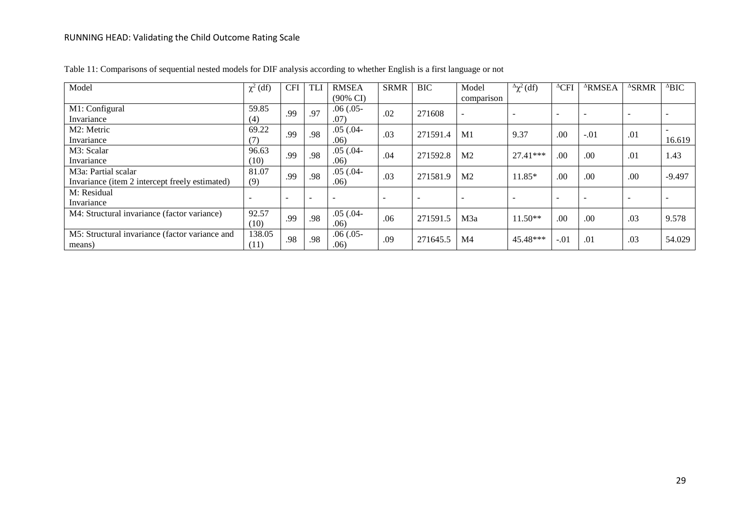| Model                                          | $\chi^2$ (df)            | <b>CFI</b>               | <b>TLI</b>               | <b>RMSEA</b>        | <b>SRMR</b> | <b>BIC</b> | Model                    | $\Delta \chi^2$ (df)     | $^{\Delta}$ CFI          | <sup>A</sup> RMSEA       | <sup>A</sup> SRMR | $^{\Delta}BIC$ |
|------------------------------------------------|--------------------------|--------------------------|--------------------------|---------------------|-------------|------------|--------------------------|--------------------------|--------------------------|--------------------------|-------------------|----------------|
|                                                |                          |                          |                          | $(90\% \text{ CI})$ |             |            | comparison               |                          |                          |                          |                   |                |
| M1: Configural                                 | 59.85                    | .99                      | .97                      | $.06(.05 -$         | .02         | 271608     | $\overline{\phantom{0}}$ |                          | $\overline{\phantom{0}}$ | $\overline{\phantom{a}}$ |                   |                |
| Invariance                                     | (4)                      |                          |                          | .07)                |             |            |                          |                          |                          |                          |                   |                |
| M2: Metric                                     | 69.22                    | .99                      | .98                      | $.05(.04 -$         | .03         | 271591.4   | M1                       | 9.37                     | .00                      | $-.01$                   | .01               |                |
| Invariance                                     | (7)                      |                          |                          | .06)                |             |            |                          |                          |                          |                          |                   | 16.619         |
| M3: Scalar                                     | 96.63                    | .99                      | .98                      | $.05(.04 -$         | .04         | 271592.8   | M <sub>2</sub>           | $27.41***$               | .00.                     | .00                      | .01               | 1.43           |
| Invariance                                     | (10)                     |                          |                          | .06)                |             |            |                          |                          |                          |                          |                   |                |
| M <sub>3</sub> a: Partial scalar               | 81.07                    | .99                      | .98                      | $.05(.04 -$         | .03         | 271581.9   | M <sub>2</sub>           | $11.85*$                 | .00                      | .00                      | .00               | $-9.497$       |
| Invariance (item 2 intercept freely estimated) | (9)                      |                          |                          | .06)                |             |            |                          |                          |                          |                          |                   |                |
| M: Residual                                    |                          |                          |                          |                     |             |            |                          |                          |                          |                          |                   |                |
| Invariance                                     | $\overline{\phantom{0}}$ | $\overline{\phantom{a}}$ | $\overline{\phantom{0}}$ |                     |             |            | $\overline{\phantom{0}}$ | $\overline{\phantom{a}}$ | $\overline{\phantom{0}}$ | $\overline{\phantom{0}}$ |                   |                |
| M4: Structural invariance (factor variance)    | 92.57                    | .99                      | .98                      | $.05(.04 -$         | .06         | 271591.5   | M <sub>3</sub> a         | $11.50**$                | .00                      | .00 <sub>1</sub>         | .03               | 9.578          |
|                                                | (10)                     |                          |                          | .06)                |             |            |                          |                          |                          |                          |                   |                |
| M5: Structural invariance (factor variance and | 138.05                   | .98                      | .98                      | $.06(.05 -$         | .09         | 271645.5   | M4                       | 45.48***                 | $-.01$                   | .01                      | .03               | 54.029         |
| means)                                         | (11)                     |                          |                          | .06)                |             |            |                          |                          |                          |                          |                   |                |

Table 11: Comparisons of sequential nested models for DIF analysis according to whether English is a first language or not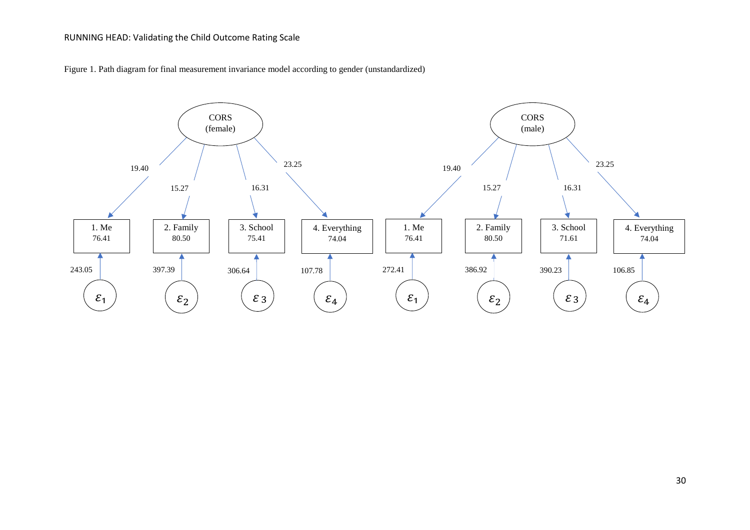Figure 1. Path diagram for final measurement invariance model according to gender (unstandardized)

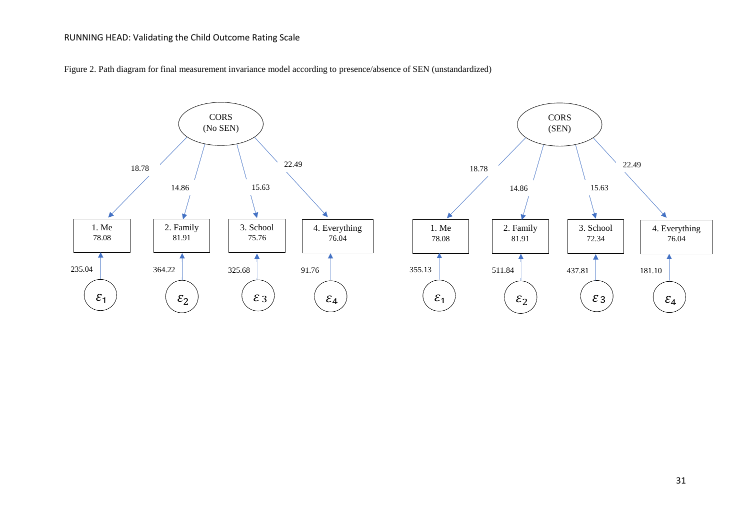Figure 2. Path diagram for final measurement invariance model according to presence/absence of SEN (unstandardized)

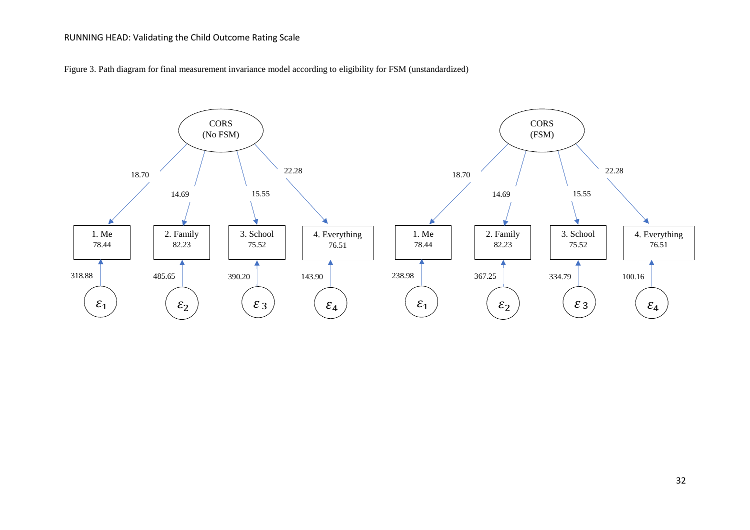Figure 3. Path diagram for final measurement invariance model according to eligibility for FSM (unstandardized)

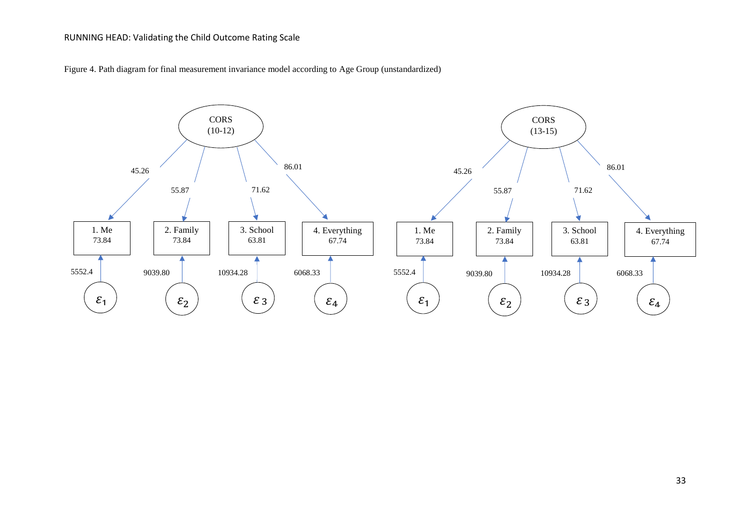Figure 4. Path diagram for final measurement invariance model according to Age Group (unstandardized)

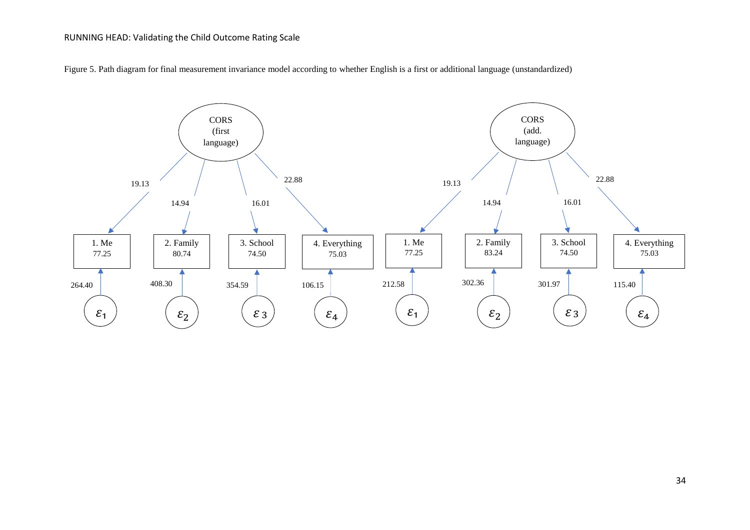

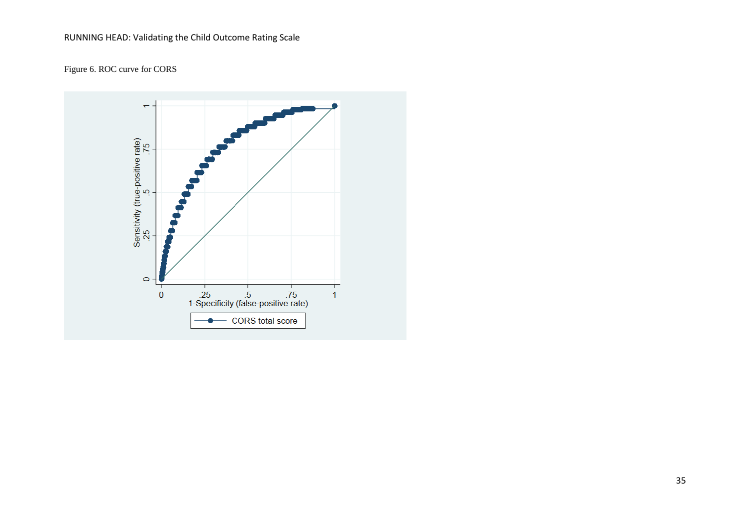# Figure 6. ROC curve for CORS